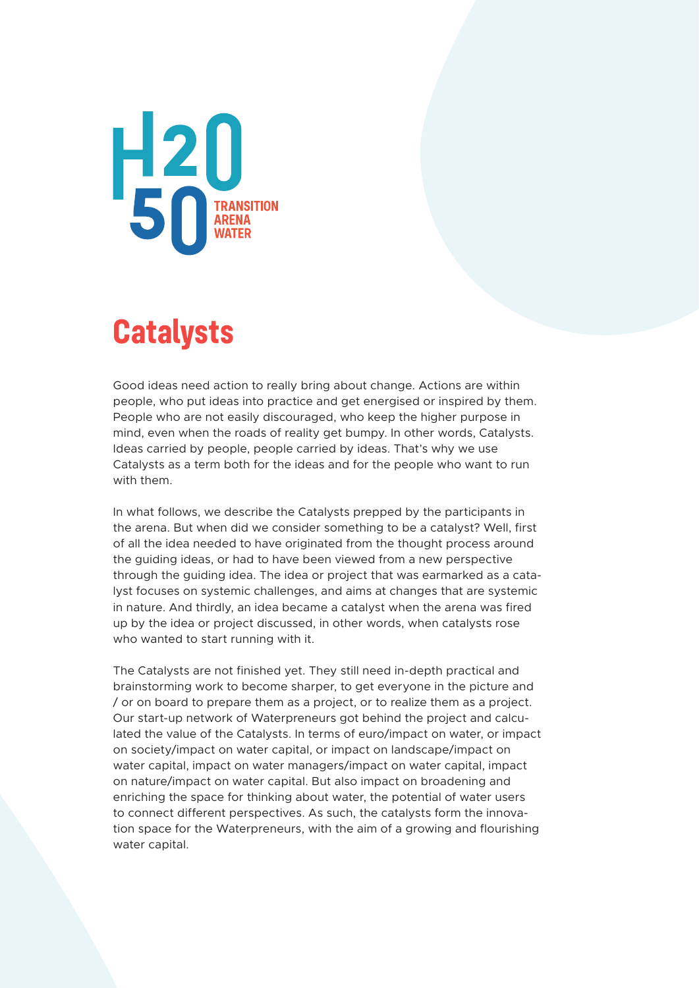

### **Catalysts**

Good ideas need action to really bring about change. Actions are within people, who put ideas into practice and get energised or inspired by them. People who are not easily discouraged, who keep the higher purpose in mind, even when the roads of reality get bumpy. In other words, Catalysts. Ideas carried by people, people carried by ideas. That's why we use Catalysts as a term both for the ideas and for the people who want to run with them.

In what follows, we describe the Catalysts prepped by the participants in the arena. But when did we consider something to be a catalyst? Well, first of all the idea needed to have originated from the thought process around the guiding ideas, or had to have been viewed from a new perspective through the guiding idea. The idea or project that was earmarked as a catalyst focuses on systemic challenges, and aims at changes that are systemic in nature. And thirdly, an idea became a catalyst when the arena was fired up by the idea or project discussed, in other words, when catalysts rose who wanted to start running with it.

The Catalysts are not finished yet. They still need in-depth practical and brainstorming work to become sharper, to get everyone in the picture and / or on board to prepare them as a project, or to realize them as a project. Our start-up network of Waterpreneurs got behind the project and calculated the value of the Catalysts. In terms of euro/impact on water, or impact on society/impact on water capital, or impact on landscape/impact on water capital, impact on water managers/impact on water capital, impact on nature/impact on water capital. But also impact on broadening and enriching the space for thinking about water, the potential of water users to connect different perspectives. As such, the catalysts form the innovation space for the Waterpreneurs, with the aim of a growing and flourishing water capital.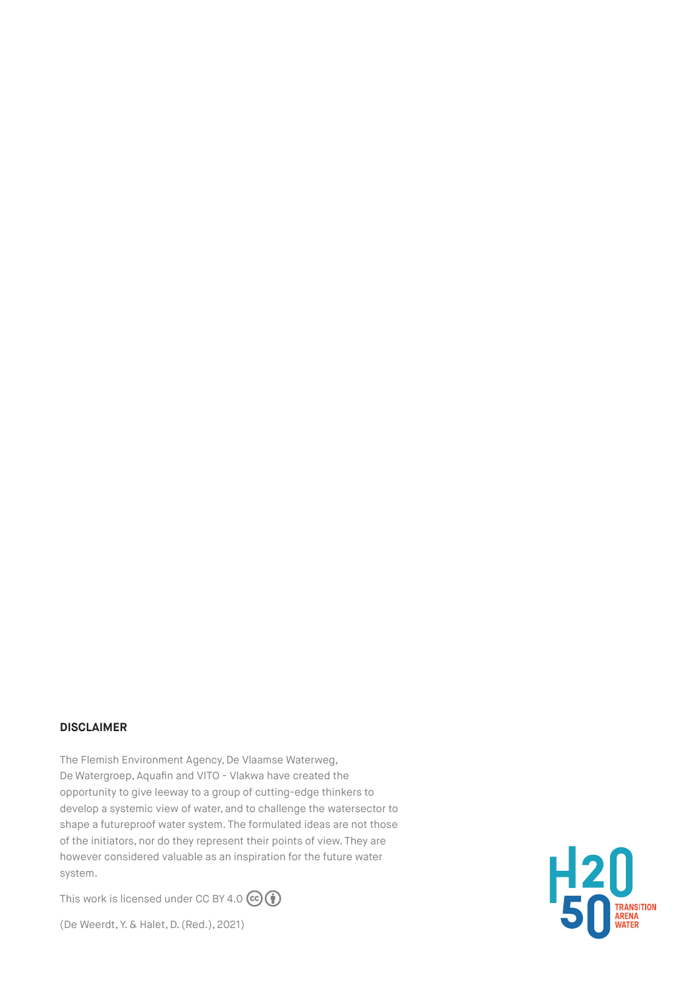#### **DISCLAIMER**

The Flemish Environment Agency, De Vlaamse Waterweg, De Watergroep, Aquafin and VITO - Vlakwa have created the opportunity to give leeway to a group of cutting-edge thinkers to develop a systemic view of water, and to challenge the watersector to shape a futureproof water system. The formulated ideas are not those of the initiators, nor do they represent their points of view. They are however considered valuable as an inspiration for the future water system.

This work is licensed under CC BY 4.0  $\left(\begin{matrix} \mathbf{c} \end{matrix}\right)$ 

(De Weerdt, Y. & Halet, D. (Red.), 2021)

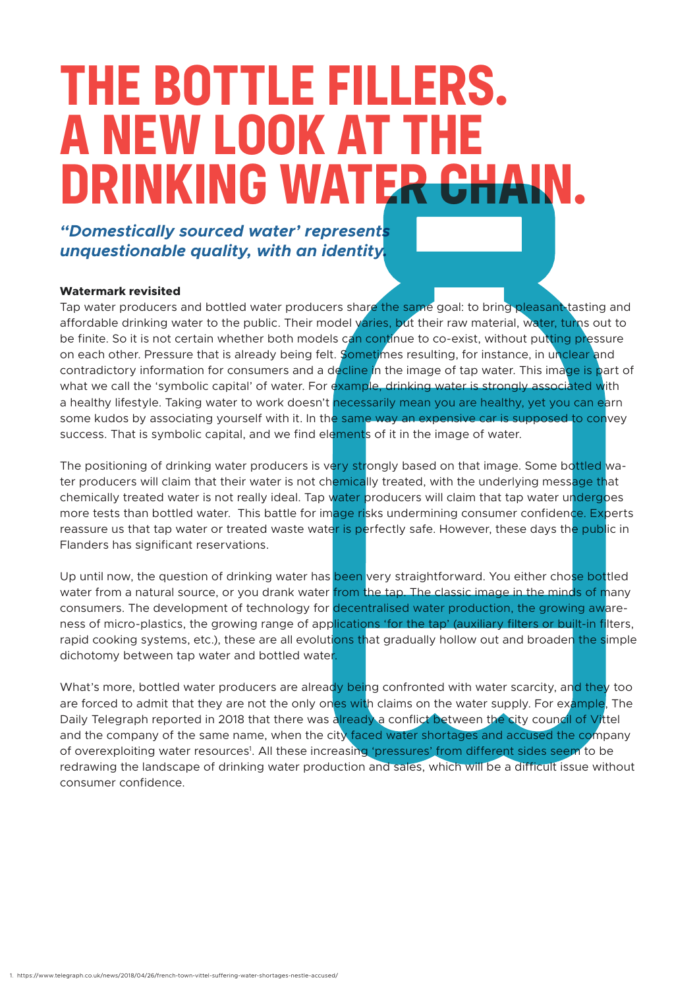### **THE BOTTLE FILLERS. A NEW LOOK AT THE DRINKING WATER**

*"Domestically sourced water' represents unquestionable quality, with an identity.*

#### **Watermark revisited**

Tap water producers and bottled water producers share the same goal: to bring pleasant-tasting and affordable drinking water to the public. Their model varies, but their raw material, water, turns out to be finite. So it is not certain whether both models can continue to co-exist, without putting pressure on each other. Pressure that is already being felt. Sometimes resulting, for instance, in unclear and contradictory information for consumers and a decline in the image of tap water. This image is part of what we call the 'symbolic capital' of water. For example, drinking water is strongly associated with a healthy lifestyle. Taking water to work doesn't necessarily mean you are healthy, yet you can earn some kudos by associating yourself with it. In the same way an expensive car is supposed to convey success. That is symbolic capital, and we find elements of it in the image of water.

The positioning of drinking water producers is very strongly based on that image. Some bottled water producers will claim that their water is not chemically treated, with the underlying message that chemically treated water is not really ideal. Tap water producers will claim that tap water undergoes more tests than bottled water. This battle for image risks undermining consumer confidence. Experts reassure us that tap water or treated waste water is perfectly safe. However, these days the public in Flanders has significant reservations.

Up until now, the question of drinking water has been very straightforward. You either chose bottled water from a natural source, or you drank water from the tap. The classic image in the minds of many consumers. The development of technology for decentralised water production, the growing awareness of micro-plastics, the growing range of applications 'for the tap' (auxiliary filters or built-in filters, rapid cooking systems, etc.), these are all evolutions that gradually hollow out and broaden the simple dichotomy between tap water and bottled water.

What's more, bottled water producers are already being confronted with water scarcity, and they too are forced to admit that they are not the only ones with claims on the water supply. For example, The Daily Telegraph reported in 2018 that there was already a conflict between the city council of Vittel and the company of the same name, when the city faced water shortages and accused the company of overexploiting water resources<sup>1</sup>. All these increasing 'pressures' from different sides seem to be redrawing the landscape of drinking water production and sales, which will be a difficult issue without consumer confidence.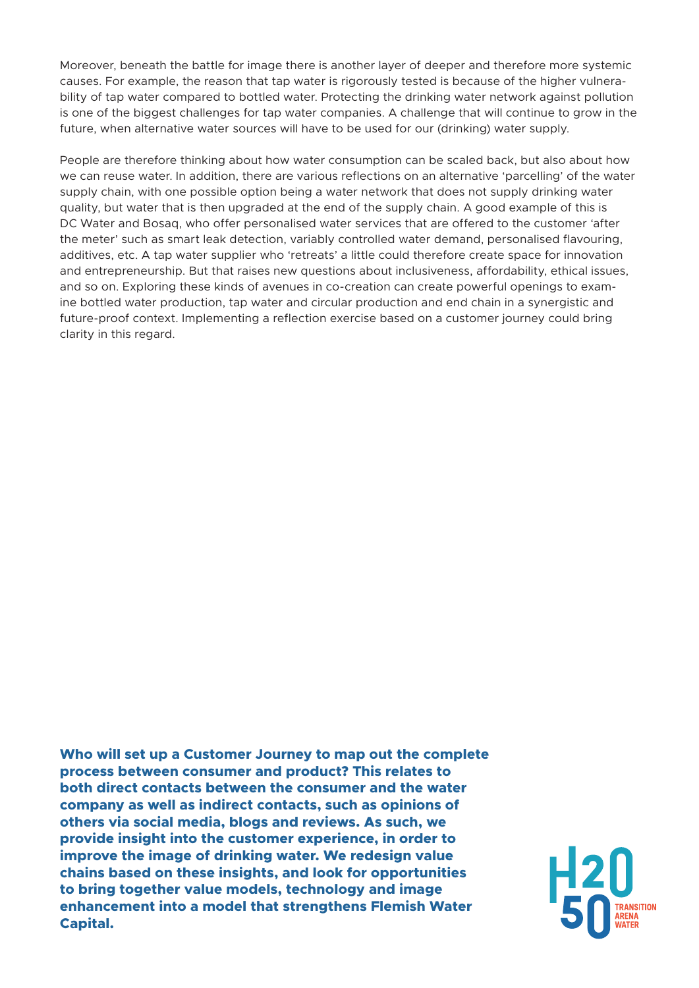Moreover, beneath the battle for image there is another layer of deeper and therefore more systemic causes. For example, the reason that tap water is rigorously tested is because of the higher vulnerability of tap water compared to bottled water. Protecting the drinking water network against pollution is one of the biggest challenges for tap water companies. A challenge that will continue to grow in the future, when alternative water sources will have to be used for our (drinking) water supply.

People are therefore thinking about how water consumption can be scaled back, but also about how we can reuse water. In addition, there are various reflections on an alternative 'parcelling' of the water supply chain, with one possible option being a water network that does not supply drinking water quality, but water that is then upgraded at the end of the supply chain. A good example of this is DC Water and Bosaq, who offer personalised water services that are offered to the customer 'after the meter' such as smart leak detection, variably controlled water demand, personalised flavouring, additives, etc. A tap water supplier who 'retreats' a little could therefore create space for innovation and entrepreneurship. But that raises new questions about inclusiveness, affordability, ethical issues, and so on. Exploring these kinds of avenues in co-creation can create powerful openings to examine bottled water production, tap water and circular production and end chain in a synergistic and future-proof context. Implementing a reflection exercise based on a customer journey could bring clarity in this regard.

**Who will set up a Customer Journey to map out the complete process between consumer and product? This relates to both direct contacts between the consumer and the water company as well as indirect contacts, such as opinions of others via social media, blogs and reviews. As such, we provide insight into the customer experience, in order to improve the image of drinking water. We redesign value chains based on these insights, and look for opportunities to bring together value models, technology and image enhancement into a model that strengthens Flemish Water Capital.**

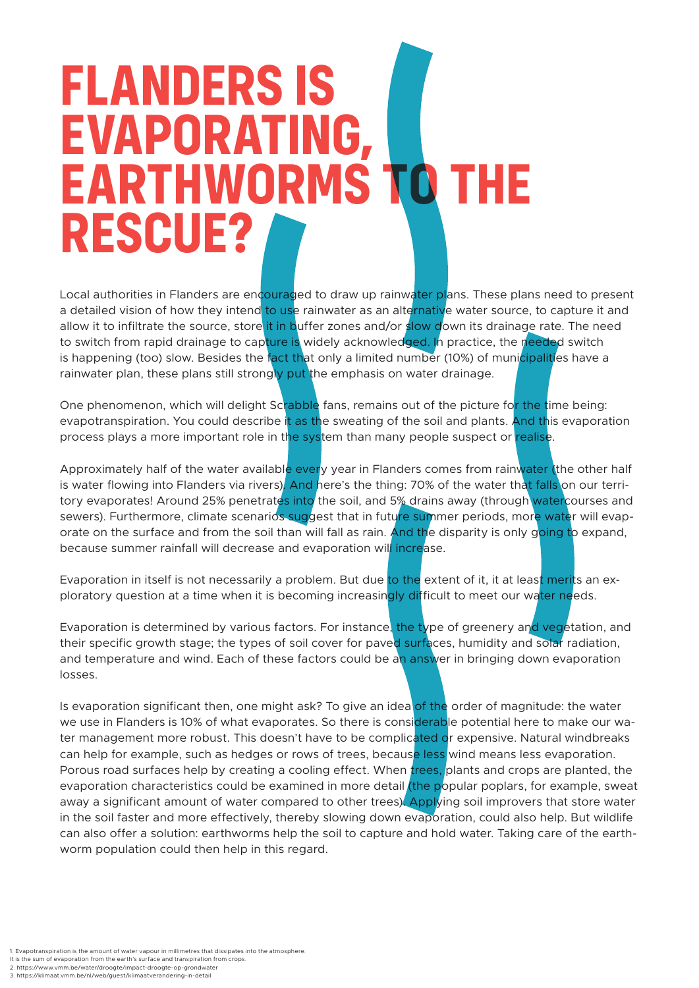## **FLANDERS IS EVAPORATING, EARTHWORMS TO THE RESCUE?**

Local authorities in Flanders are encouraged to draw up rainwater plans. These plans need to present a detailed vision of how they intend to use rainwater as an alternative water source, to capture it and allow it to infiltrate the source, store it in buffer zones and/or slow down its drainage rate. The need to switch from rapid drainage to capture is widely acknowledged. In practice, the needed switch is happening (too) slow. Besides the fact that only a limited number (10%) of municipalities have a rainwater plan, these plans still strongly put the emphasis on water drainage.

One phenomenon, which will delight Scrabble fans, remains out of the picture for the time being: evapotranspiration. You could describe it as the sweating of the soil and plants. And this evaporation process plays a more important role in the system than many people suspect or realise.

Approximately half of the water available every year in Flanders comes from rainwater (the other half is water flowing into Flanders via rivers). And here's the thing: 70% of the water that falls on our territory evaporates! Around 25% penetrates into the soil, and 5% drains away (through watercourses and sewers). Furthermore, climate scenarios suggest that in future summer periods, more water will evaporate on the surface and from the soil than will fall as rain. And the disparity is only going to expand, because summer rainfall will decrease and evaporation will increase.

Evaporation in itself is not necessarily a problem. But due to the extent of it, it at least merits an exploratory question at a time when it is becoming increasingly difficult to meet our water needs.

Evaporation is determined by various factors. For instance, the type of greenery and vegetation, and their specific growth stage; the types of soil cover for paved surfaces, humidity and solar radiation, and temperature and wind. Each of these factors could be an answer in bringing down evaporation losses.

Is evaporation significant then, one might ask? To give an idea of the order of magnitude: the water we use in Flanders is 10% of what evaporates. So there is considerable potential here to make our water management more robust. This doesn't have to be complicated or expensive. Natural windbreaks can help for example, such as hedges or rows of trees, because less wind means less evaporation. Porous road surfaces help by creating a cooling effect. When *trees*, plants and crops are planted, the evaporation characteristics could be examined in more detail (the popular poplars, for example, sweat away a significant amount of water compared to other trees). Applying soil improvers that store water in the soil faster and more effectively, thereby slowing down evaporation, could also help. But wildlife can also offer a solution: earthworms help the soil to capture and hold water. Taking care of the earthworm population could then help in this regard.

. Evapotranspiration is the amount of water vapour in millimetres that dissipates into the atmosphere It is the sum of evaporation from the earth's surface and transpiration from crops. 2. https://www.vmm.be/water/droogte/impact-droogte-op-grondwater 3. https://klimaat.vmm.be/nl/web/guest/klimaatverandering-in-detail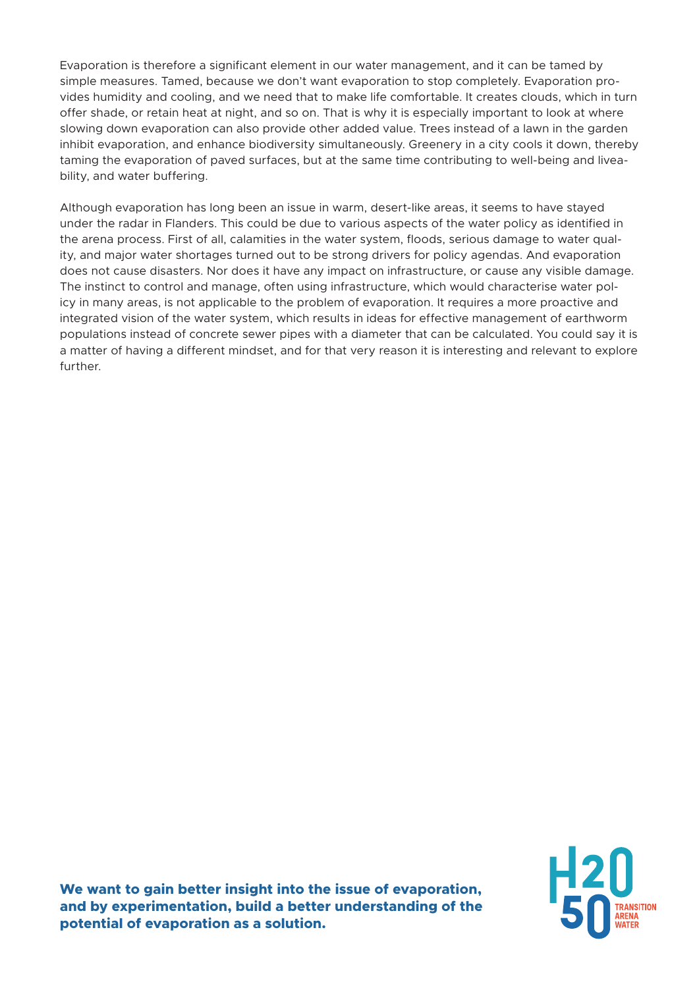Evaporation is therefore a significant element in our water management, and it can be tamed by simple measures. Tamed, because we don't want evaporation to stop completely. Evaporation provides humidity and cooling, and we need that to make life comfortable. It creates clouds, which in turn offer shade, or retain heat at night, and so on. That is why it is especially important to look at where slowing down evaporation can also provide other added value. Trees instead of a lawn in the garden inhibit evaporation, and enhance biodiversity simultaneously. Greenery in a city cools it down, thereby taming the evaporation of paved surfaces, but at the same time contributing to well-being and liveability, and water buffering.

Although evaporation has long been an issue in warm, desert-like areas, it seems to have stayed under the radar in Flanders. This could be due to various aspects of the water policy as identified in the arena process. First of all, calamities in the water system, floods, serious damage to water quality, and major water shortages turned out to be strong drivers for policy agendas. And evaporation does not cause disasters. Nor does it have any impact on infrastructure, or cause any visible damage. The instinct to control and manage, often using infrastructure, which would characterise water policy in many areas, is not applicable to the problem of evaporation. It requires a more proactive and integrated vision of the water system, which results in ideas for effective management of earthworm populations instead of concrete sewer pipes with a diameter that can be calculated. You could say it is a matter of having a different mindset, and for that very reason it is interesting and relevant to explore further.

**We want to gain better insight into the issue of evaporation, and by experimentation, build a better understanding of the potential of evaporation as a solution.**

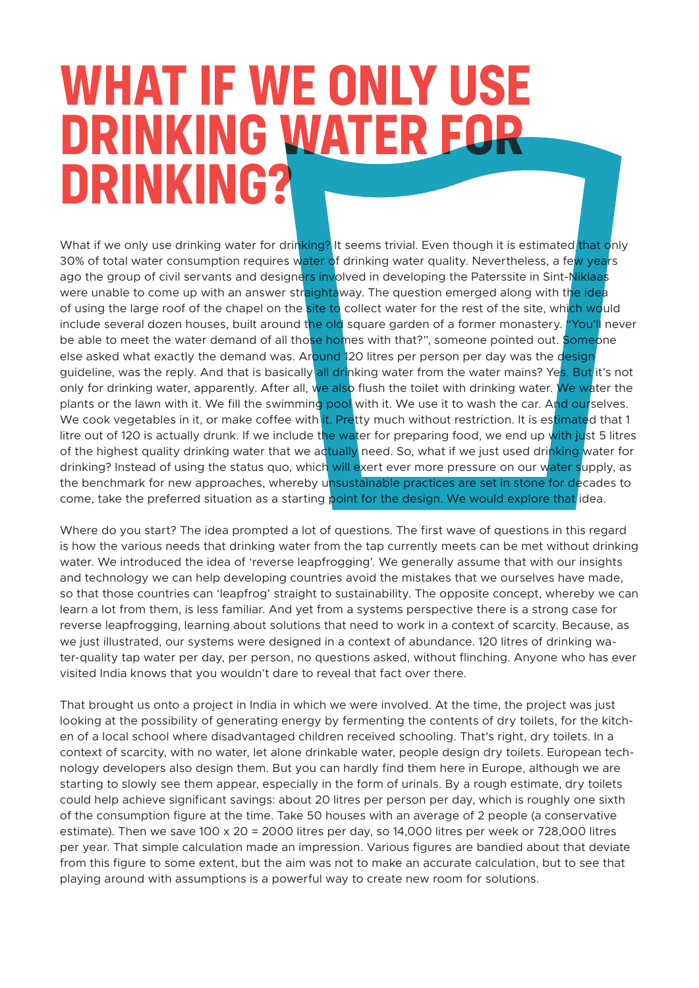### **WHAT IF WE ONLY USE DRINKING WATER FOR DRINKING?**

What if we only use drinking water for drinking? It seems trivial. Even though it is estimated that only 30% of total water consumption requires water of drinking water quality. Nevertheless, a few years ago the group of civil servants and designers involved in developing the Paterssite in Sint-Niklaas were unable to come up with an answer straightaway. The question emerged along with the idea of using the large roof of the chapel on the site to collect water for the rest of the site, which would include several dozen houses, built around the old square garden of a former monastery. "You'll never be able to meet the water demand of all those homes with that?", someone pointed out. Someone else asked what exactly the demand was. Around 120 litres per person per day was the design guideline, was the reply. And that is basically all drinking water from the water mains? Yes. But it's not only for drinking water, apparently. After all, we also flush the toilet with drinking water. We water the plants or the lawn with it. We fill the swimming pool with it. We use it to wash the car. And ourselves. We cook vegetables in it, or make coffee with it. Pretty much without restriction. It is estimated that 1 litre out of 120 is actually drunk. If we include the water for preparing food, we end up with just 5 litres of the highest quality drinking water that we actually need. So, what if we just used drinking water for drinking? Instead of using the status quo, which will exert ever more pressure on our water supply, as the benchmark for new approaches, whereby unsustainable practices are set in stone for decades to come, take the preferred situation as a starting point for the design. We would explore that idea.

Where do you start? The idea prompted a lot of questions. The first wave of questions in this regard is how the various needs that drinking water from the tap currently meets can be met without drinking water. We introduced the idea of 'reverse leapfrogging'. We generally assume that with our insights and technology we can help developing countries avoid the mistakes that we ourselves have made, so that those countries can 'leapfrog' straight to sustainability. The opposite concept, whereby we can learn a lot from them, is less familiar. And yet from a systems perspective there is a strong case for reverse leapfrogging, learning about solutions that need to work in a context of scarcity. Because, as we just illustrated, our systems were designed in a context of abundance. 120 litres of drinking water-quality tap water per day, per person, no questions asked, without flinching. Anyone who has ever visited India knows that you wouldn't dare to reveal that fact over there.

That brought us onto a project in India in which we were involved. At the time, the project was just looking at the possibility of generating energy by fermenting the contents of dry toilets, for the kitchen of a local school where disadvantaged children received schooling. That's right, dry toilets. In a context of scarcity, with no water, let alone drinkable water, people design dry toilets. European technology developers also design them. But you can hardly find them here in Europe, although we are starting to slowly see them appear, especially in the form of urinals. By a rough estimate, dry toilets could help achieve significant savings: about 20 litres per person per day, which is roughly one sixth of the consumption figure at the time. Take 50 houses with an average of 2 people (a conservative estimate). Then we save 100 x 20 = 2000 litres per day, so 14,000 litres per week or 728,000 litres per year. That simple calculation made an impression. Various figures are bandied about that deviate from this figure to some extent, but the aim was not to make an accurate calculation, but to see that playing around with assumptions is a powerful way to create new room for solutions.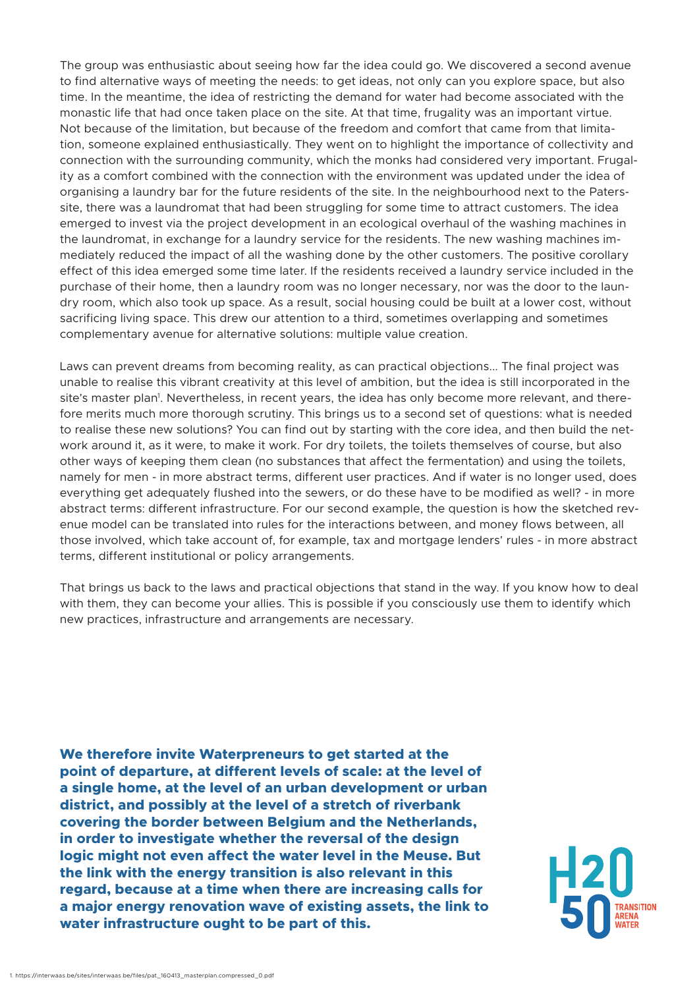The group was enthusiastic about seeing how far the idea could go. We discovered a second avenue to find alternative ways of meeting the needs: to get ideas, not only can you explore space, but also time. In the meantime, the idea of restricting the demand for water had become associated with the monastic life that had once taken place on the site. At that time, frugality was an important virtue. Not because of the limitation, but because of the freedom and comfort that came from that limitation, someone explained enthusiastically. They went on to highlight the importance of collectivity and connection with the surrounding community, which the monks had considered very important. Frugality as a comfort combined with the connection with the environment was updated under the idea of organising a laundry bar for the future residents of the site. In the neighbourhood next to the Paterssite, there was a laundromat that had been struggling for some time to attract customers. The idea emerged to invest via the project development in an ecological overhaul of the washing machines in the laundromat, in exchange for a laundry service for the residents. The new washing machines immediately reduced the impact of all the washing done by the other customers. The positive corollary effect of this idea emerged some time later. If the residents received a laundry service included in the purchase of their home, then a laundry room was no longer necessary, nor was the door to the laundry room, which also took up space. As a result, social housing could be built at a lower cost, without sacrificing living space. This drew our attention to a third, sometimes overlapping and sometimes complementary avenue for alternative solutions: multiple value creation.

Laws can prevent dreams from becoming reality, as can practical objections... The final project was unable to realise this vibrant creativity at this level of ambition, but the idea is still incorporated in the site's master plan<sup>1</sup>. Nevertheless, in recent years, the idea has only become more relevant, and therefore merits much more thorough scrutiny. This brings us to a second set of questions: what is needed to realise these new solutions? You can find out by starting with the core idea, and then build the network around it, as it were, to make it work. For dry toilets, the toilets themselves of course, but also other ways of keeping them clean (no substances that affect the fermentation) and using the toilets, namely for men - in more abstract terms, different user practices. And if water is no longer used, does everything get adequately flushed into the sewers, or do these have to be modified as well? - in more abstract terms: different infrastructure. For our second example, the question is how the sketched revenue model can be translated into rules for the interactions between, and money flows between, all those involved, which take account of, for example, tax and mortgage lenders' rules - in more abstract terms, different institutional or policy arrangements.

That brings us back to the laws and practical objections that stand in the way. If you know how to deal with them, they can become your allies. This is possible if you consciously use them to identify which new practices, infrastructure and arrangements are necessary.

**We therefore invite Waterpreneurs to get started at the point of departure, at different levels of scale: at the level of a single home, at the level of an urban development or urban district, and possibly at the level of a stretch of riverbank covering the border between Belgium and the Netherlands, in order to investigate whether the reversal of the design logic might not even affect the water level in the Meuse. But the link with the energy transition is also relevant in this regard, because at a time when there are increasing calls for a major energy renovation wave of existing assets, the link to water infrastructure ought to be part of this.**

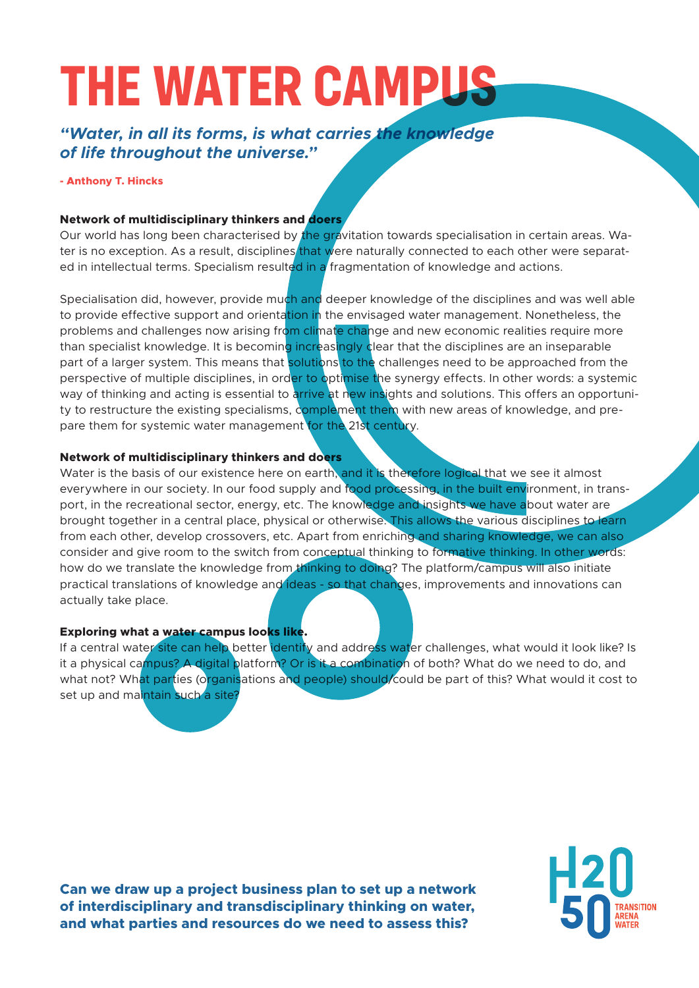# **THE WATER CAMPL**

#### *"Water, in all its forms, is what carries the knowledge of life throughout the universe."*

#### **- Anthony T. Hincks**

#### **Network of multidisciplinary thinkers and doers**

Our world has long been characterised by the gravitation towards specialisation in certain areas. Water is no exception. As a result, disciplines that were naturally connected to each other were separated in intellectual terms. Specialism resulted in a fragmentation of knowledge and actions.

Specialisation did, however, provide much and deeper knowledge of the disciplines and was well able to provide effective support and orientation in the envisaged water management. Nonetheless, the problems and challenges now arising from climate change and new economic realities require more than specialist knowledge. It is becoming increasingly clear that the disciplines are an inseparable part of a larger system. This means that solutions to the challenges need to be approached from the perspective of multiple disciplines, in order to optimise the synergy effects. In other words: a systemic way of thinking and acting is essential to arrive at new insights and solutions. This offers an opportunity to restructure the existing specialisms, complement them with new areas of knowledge, and prepare them for systemic water management for the 21st century.

#### **Network of multidisciplinary thinkers and doers**

Water is the basis of our existence here on earth, and it is therefore logical that we see it almost everywhere in our society. In our food supply and food processing, in the built environment, in transport, in the recreational sector, energy, etc. The knowledge and insights we have about water are brought together in a central place, physical or otherwise. This allows the various disciplines to learn from each other, develop crossovers, etc. Apart from enriching and sharing knowledge, we can also consider and give room to the switch from conceptual thinking to formative thinking. In other words: how do we translate the knowledge from thinking to doing? The platform/campus will also initiate practical translations of knowledge and ideas - so that changes, improvements and innovations can actually take place.

#### **Exploring what a water campus looks like.**

If a central water site can help better identify and address water challenges, what would it look like? Is it a physical campus? A digital platform? Or is it a combination of both? What do we need to do, and what not? What parties (organisations and people) should/could be part of this? What would it cost to set up and maintain such a site?

**Can we draw up a project business plan to set up a network of interdisciplinary and transdisciplinary thinking on water, and what parties and resources do we need to assess this?**

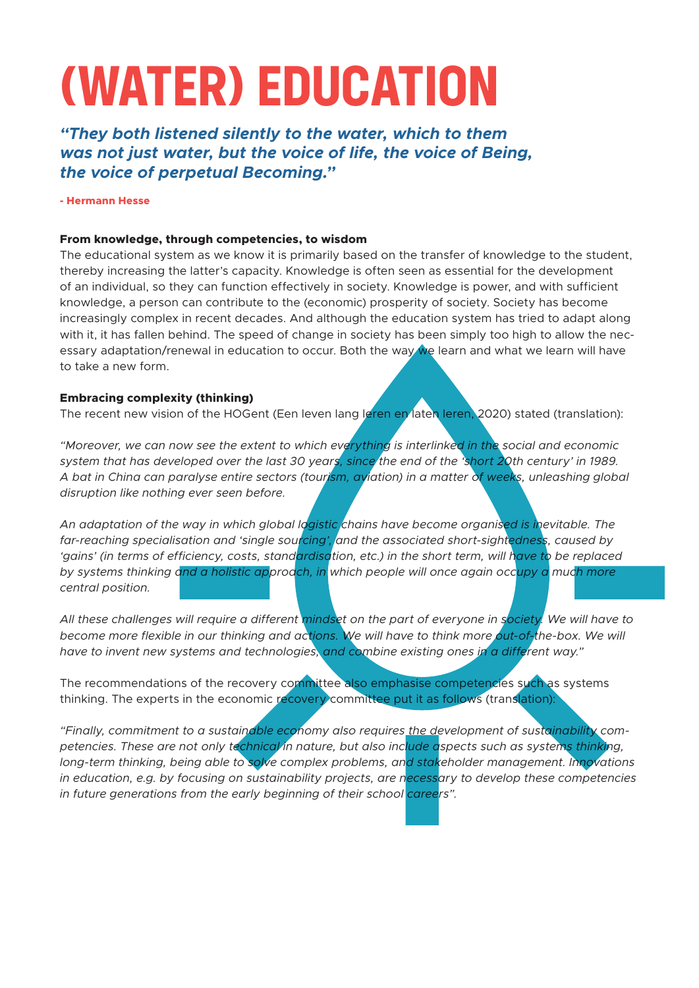# **(WATER) EDUCATION**

*"They both listened silently to the water, which to them was not just water, but the voice of life, the voice of Being, the voice of perpetual Becoming."*

**- Hermann Hesse**

#### **From knowledge, through competencies, to wisdom**

The educational system as we know it is primarily based on the transfer of knowledge to the student, thereby increasing the latter's capacity. Knowledge is often seen as essential for the development of an individual, so they can function effectively in society. Knowledge is power, and with sufficient knowledge, a person can contribute to the (economic) prosperity of society. Society has become increasingly complex in recent decades. And although the education system has tried to adapt along with it, it has fallen behind. The speed of change in society has been simply too high to allow the necessary adaptation/renewal in education to occur. Both the way we learn and what we learn will have to take a new form.

#### **Embracing complexity (thinking)**

The recent new vision of the HOGent (Een leven lang leren en laten leren, 2020) stated (translation):

*"Moreover, we can now see the extent to which everything is interlinked in the social and economic system that has developed over the last 30 years, since the end of the 'short 20th century' in 1989. A bat in China can paralyse entire sectors (tourism, aviation) in a matter of weeks, unleashing global disruption like nothing ever seen before.* 

An adaptation of the way in which global logistic chains have become organised is inevitable. The *far-reaching specialisation and 'single sourcing', and the associated short-sightedness, caused by 'gains' (in terms of efficiency, costs, standardisation, etc.) in the short term, will have to be replaced by systems thinking and a holistic approach, in which people will once again occupy a much more central position.*

*All these challenges will require a different mindset on the part of everyone in society. We will have to become more flexible in our thinking and actions. We will have to think more out-of-the-box. We will have to invent new systems and technologies, and combine existing ones in a different way."*

The recommendations of the recovery committee also emphasise competencies such as systems thinking. The experts in the economic recovery committee put it as follows (translation):

*"Finally, commitment to a sustainable economy also requires the development of sustainability competencies. These are not only technical in nature, but also include aspects such as systems thinking, long-term thinking, being able to solve complex problems, and stakeholder management. Innovations in education, e.g. by focusing on sustainability projects, are necessary to develop these competencies in future generations from the early beginning of their school careers".*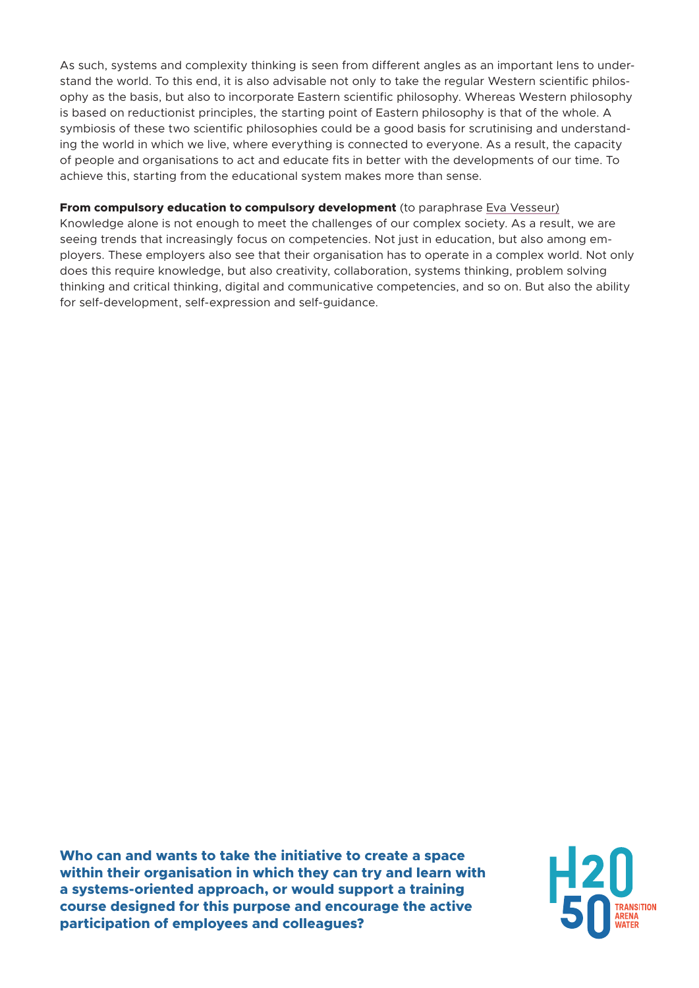As such, systems and complexity thinking is seen from different angles as an important lens to understand the world. To this end, it is also advisable not only to take the regular Western scientific philosophy as the basis, but also to incorporate Eastern scientific philosophy. Whereas Western philosophy is based on reductionist principles, the starting point of Eastern philosophy is that of the whole. A symbiosis of these two scientific philosophies could be a good basis for scrutinising and understanding the world in which we live, where everything is connected to everyone. As a result, the capacity of people and organisations to act and educate fits in better with the developments of our time. To achieve this, starting from the educational system makes more than sense.

#### **From compulsory education to compulsory development** (to paraphrase Eva Vesseur)

Knowledge alone is not enough to meet the challenges of our complex society. As a result, we are seeing trends that increasingly focus on competencies. Not just in education, but also among employers. These employers also see that their organisation has to operate in a complex world. Not only does this require knowledge, but also creativity, collaboration, systems thinking, problem solving thinking and critical thinking, digital and communicative competencies, and so on. But also the ability for self-development, self-expression and self-guidance.

**Who can and wants to take the initiative to create a space within their organisation in which they can try and learn with a systems-oriented approach, or would support a training course designed for this purpose and encourage the active participation of employees and colleagues?**

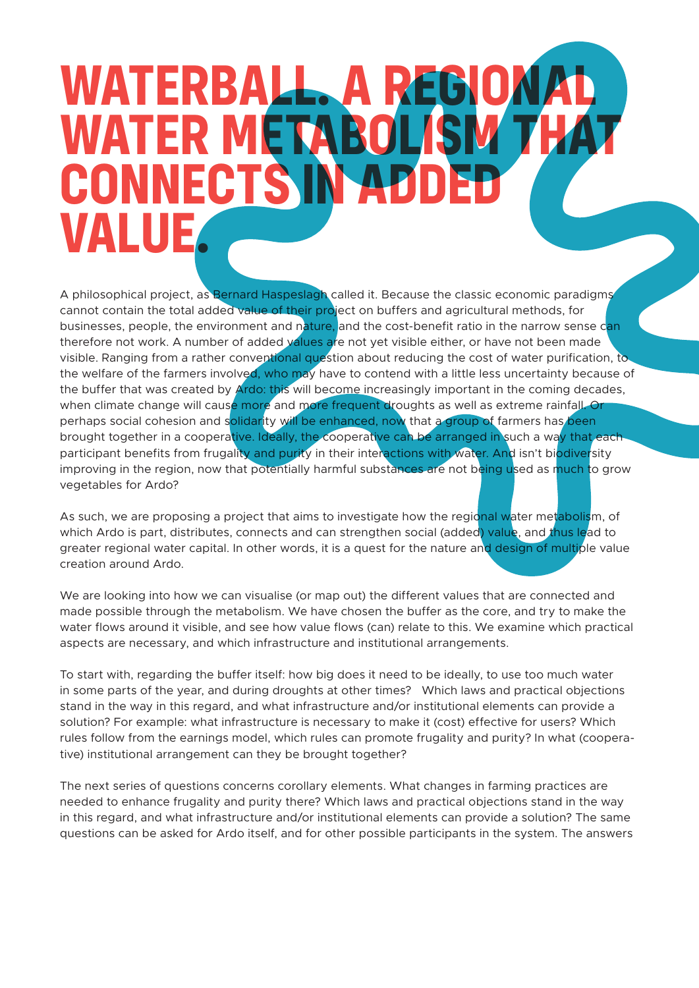### **WATERB WATER MET CONNECTS IN ADDED VALUE.**

A philosophical project, as Bernard Haspeslagh called it. Because the classic economic paradigms cannot contain the total added value of their project on buffers and agricultural methods, for businesses, people, the environment and nature, and the cost-benefit ratio in the narrow sense can therefore not work. A number of added values are not yet visible either, or have not been made visible. Ranging from a rather conventional question about reducing the cost of water purification, to the welfare of the farmers involved, who may have to contend with a little less uncertainty because of the buffer that was created by Ardo: this will become increasingly important in the coming decades, when climate change will cause more and more frequent droughts as well as extreme rainfall. Or perhaps social cohesion and solidarity will be enhanced, now that a group of farmers has been brought together in a cooperative. Ideally, the cooperative can be arranged in such a way that each participant benefits from frugality and purity in their interactions with water. And isn't biodiversity improving in the region, now that potentially harmful substances are not being used as much to grow vegetables for Ardo?

As such, we are proposing a project that aims to investigate how the regional water metabolism, of which Ardo is part, distributes, connects and can strengthen social (added) value, and thus lead to greater regional water capital. In other words, it is a quest for the nature and design of multiple value creation around Ardo.

We are looking into how we can visualise (or map out) the different values that are connected and made possible through the metabolism. We have chosen the buffer as the core, and try to make the water flows around it visible, and see how value flows (can) relate to this. We examine which practical aspects are necessary, and which infrastructure and institutional arrangements.

To start with, regarding the buffer itself: how big does it need to be ideally, to use too much water in some parts of the year, and during droughts at other times? Which laws and practical objections stand in the way in this regard, and what infrastructure and/or institutional elements can provide a solution? For example: what infrastructure is necessary to make it (cost) effective for users? Which rules follow from the earnings model, which rules can promote frugality and purity? In what (cooperative) institutional arrangement can they be brought together?

The next series of questions concerns corollary elements. What changes in farming practices are needed to enhance frugality and purity there? Which laws and practical objections stand in the way in this regard, and what infrastructure and/or institutional elements can provide a solution? The same questions can be asked for Ardo itself, and for other possible participants in the system. The answers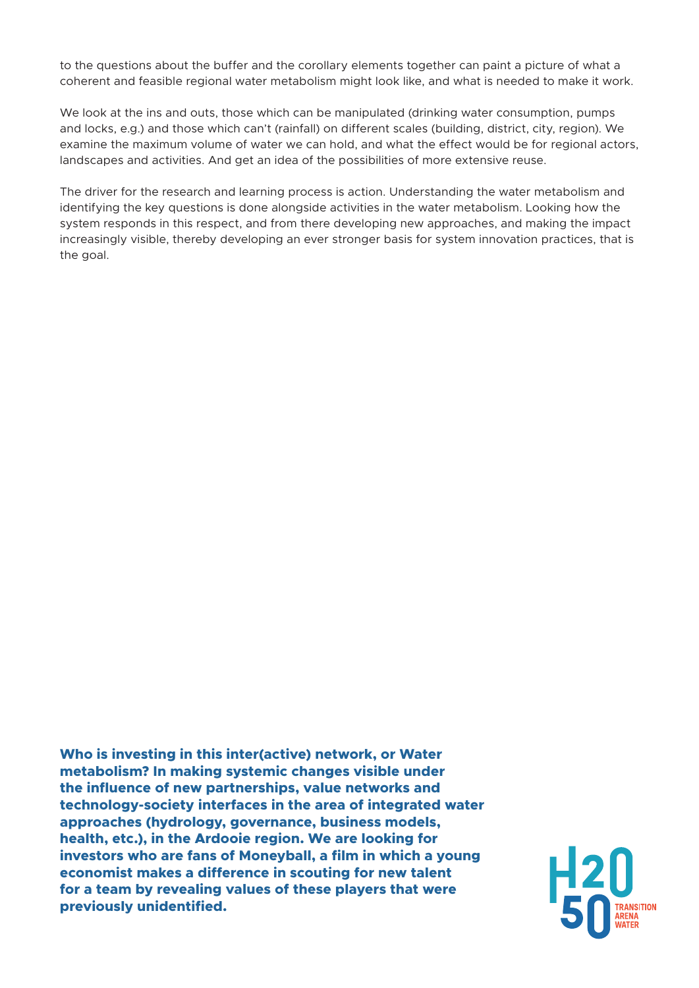to the questions about the buffer and the corollary elements together can paint a picture of what a coherent and feasible regional water metabolism might look like, and what is needed to make it work.

We look at the ins and outs, those which can be manipulated (drinking water consumption, pumps and locks, e.g.) and those which can't (rainfall) on different scales (building, district, city, region). We examine the maximum volume of water we can hold, and what the effect would be for regional actors, landscapes and activities. And get an idea of the possibilities of more extensive reuse.

The driver for the research and learning process is action. Understanding the water metabolism and identifying the key questions is done alongside activities in the water metabolism. Looking how the system responds in this respect, and from there developing new approaches, and making the impact increasingly visible, thereby developing an ever stronger basis for system innovation practices, that is the goal.

**Who is investing in this inter(active) network, or Water metabolism? In making systemic changes visible under the influence of new partnerships, value networks and technology-society interfaces in the area of integrated water approaches (hydrology, governance, business models, health, etc.), in the Ardooie region. We are looking for investors who are fans of Moneyball, a film in which a young economist makes a difference in scouting for new talent for a team by revealing values of these players that were previously unidentified.**

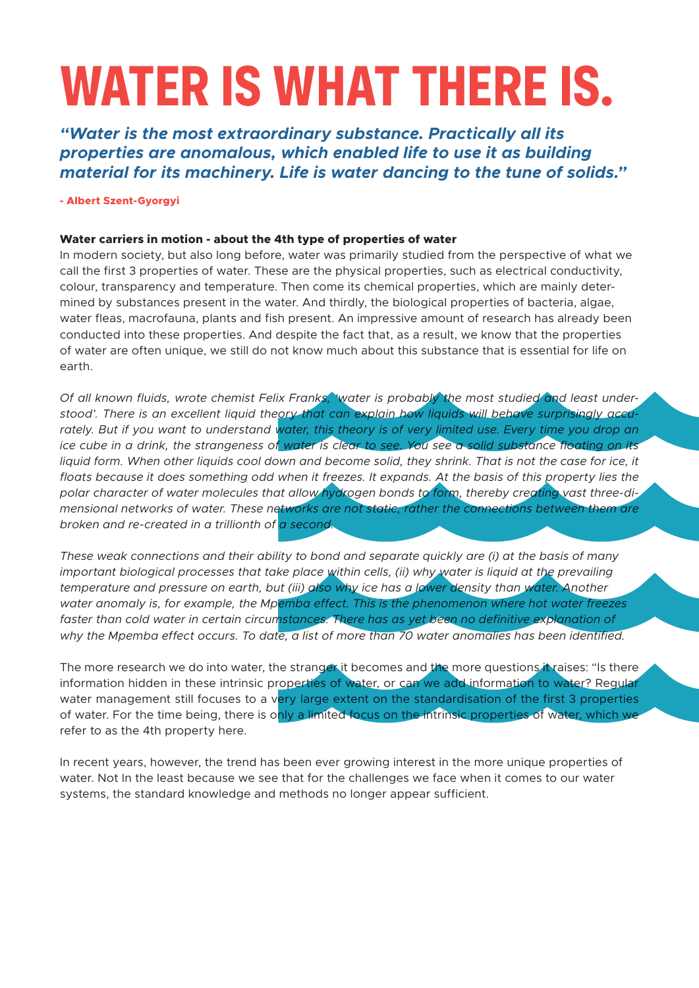# **WATER IS WHAT THERE IS.**

*"Water is the most extraordinary substance. Practically all its properties are anomalous, which enabled life to use it as building material for its machinery. Life is water dancing to the tune of solids."*

**- Albert Szent-Gyorgyi**

#### **Water carriers in motion - about the 4th type of properties of water**

In modern society, but also long before, water was primarily studied from the perspective of what we call the first 3 properties of water. These are the physical properties, such as electrical conductivity, colour, transparency and temperature. Then come its chemical properties, which are mainly determined by substances present in the water. And thirdly, the biological properties of bacteria, algae, water fleas, macrofauna, plants and fish present. An impressive amount of research has already been conducted into these properties. And despite the fact that, as a result, we know that the properties of water are often unique, we still do not know much about this substance that is essential for life on earth.

*Of all known fluids, wrote chemist Felix Franks, 'water is probably the most studied and least understood'. There is an excellent liquid theory that can explain how liquids will behave surprisingly accu*rately. But if you want to understand water, this theory is of very limited use. Every time you drop an *ice cube in a drink, the strangeness of water is clear to see. You see a solid substance floating on its*  liquid form. When other liquids cool down and become solid, they shrink. That is not the case for ice, it floats because it does something odd when it freezes. It expands. At the basis of this property lies the *polar character of water molecules that allow hydrogen bonds to form, thereby creating vast three-dimensional networks of water. These networks are not static, rather the connections between them are broken and re-created in a trillionth of a second.*

*These weak connections and their ability to bond and separate quickly are (i) at the basis of many important biological processes that take place within cells, (ii) why water is liquid at the prevailing temperature and pressure on earth, but (iii) also why ice has a lower density than water. Another water anomaly is, for example, the Mpemba effect. This is the phenomenon where hot water freezes*  faster than cold water in certain circumstances. There has as yet been no definitive explanation of *why the Mpemba effect occurs. To date, a list of more than 70 water anomalies has been identified.*

The more research we do into water, the stranger it becomes and the more questions it raises: "Is there information hidden in these intrinsic properties of water, or can we add information to water? Regular water management still focuses to a very large extent on the standardisation of the first 3 properties of water. For the time being, there is only a limited focus on the intrinsic properties of water, which we refer to as the 4th property here.

In recent years, however, the trend has been ever growing interest in the more unique properties of water. Not In the least because we see that for the challenges we face when it comes to our water systems, the standard knowledge and methods no longer appear sufficient.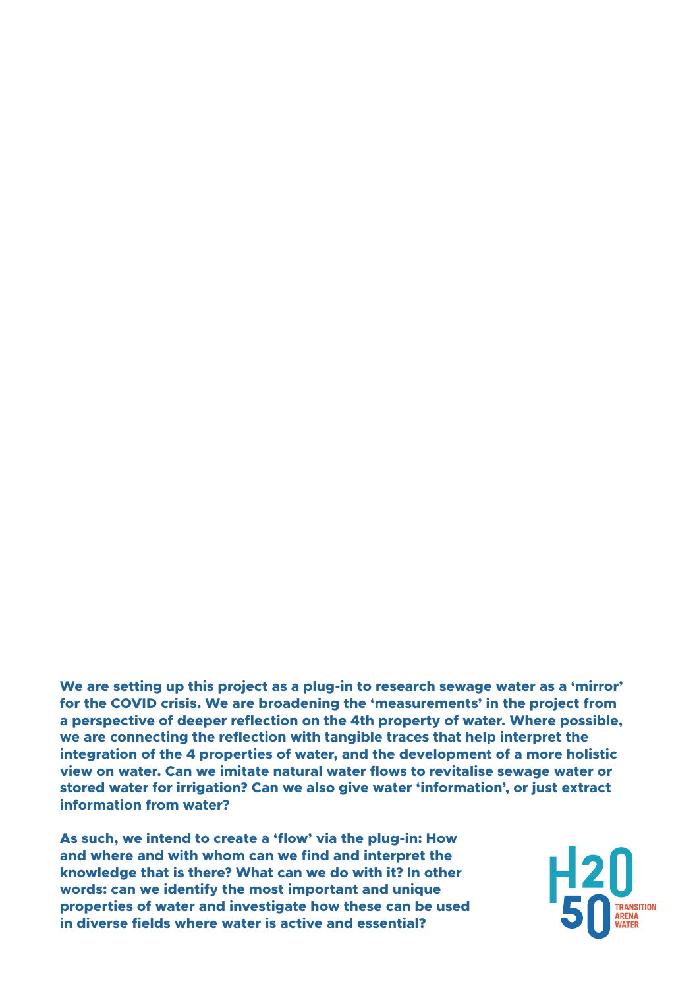**We are setting up this project as a plug-in to research sewage water as a 'mirror' for the COVID crisis. We are broadening the 'measurements' in the project from a perspective of deeper reflection on the 4th property of water. Where possible, we are connecting the reflection with tangible traces that help interpret the integration of the 4 properties of water, and the development of a more holistic view on water. Can we imitate natural water flows to revitalise sewage water or stored water for irrigation? Can we also give water 'information', or just extract information from water?** 

**As such, we intend to create a 'flow' via the plug-in: How and where and with whom can we find and interpret the knowledge that is there? What can we do with it? In other words: can we identify the most important and unique properties of water and investigate how these can be used in diverse fields where water is active and essential?**

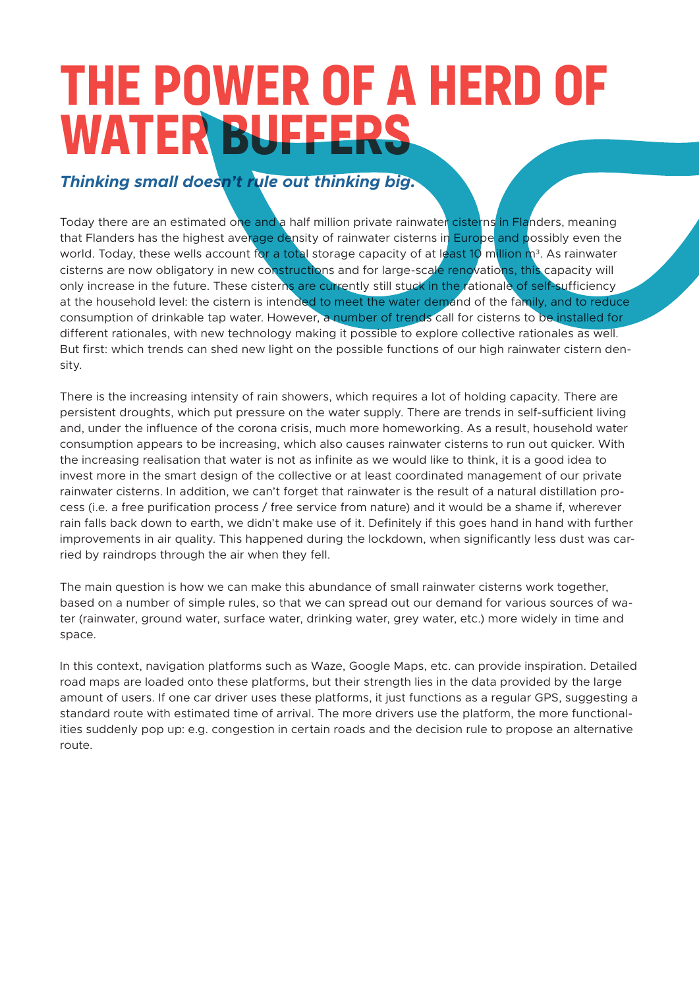### **THE POWER OF A HERD OF WATER BUFFERS**

#### *Thinking small doesn't rule out thinking big.*

Today there are an estimated one and a half million private rainwater cisterns in Flanders, meaning that Flanders has the highest average density of rainwater cisterns in Europe and possibly even the world. Today, these wells account for a total storage capacity of at least 10 million  $n^3$ . As rainwater cisterns are now obligatory in new constructions and for large-scale renovations, this capacity will only increase in the future. These cisterns are currently still stuck in the rationale of self-sufficiency at the household level: the cistern is intended to meet the water demand of the family, and to reduce consumption of drinkable tap water. However, a number of trends call for cisterns to be installed for different rationales, with new technology making it possible to explore collective rationales as well. But first: which trends can shed new light on the possible functions of our high rainwater cistern density.

There is the increasing intensity of rain showers, which requires a lot of holding capacity. There are persistent droughts, which put pressure on the water supply. There are trends in self-sufficient living and, under the influence of the corona crisis, much more homeworking. As a result, household water consumption appears to be increasing, which also causes rainwater cisterns to run out quicker. With the increasing realisation that water is not as infinite as we would like to think, it is a good idea to invest more in the smart design of the collective or at least coordinated management of our private rainwater cisterns. In addition, we can't forget that rainwater is the result of a natural distillation process (i.e. a free purification process / free service from nature) and it would be a shame if, wherever rain falls back down to earth, we didn't make use of it. Definitely if this goes hand in hand with further improvements in air quality. This happened during the lockdown, when significantly less dust was carried by raindrops through the air when they fell.

The main question is how we can make this abundance of small rainwater cisterns work together, based on a number of simple rules, so that we can spread out our demand for various sources of water (rainwater, ground water, surface water, drinking water, grey water, etc.) more widely in time and space.

In this context, navigation platforms such as Waze, Google Maps, etc. can provide inspiration. Detailed road maps are loaded onto these platforms, but their strength lies in the data provided by the large amount of users. If one car driver uses these platforms, it just functions as a regular GPS, suggesting a standard route with estimated time of arrival. The more drivers use the platform, the more functionalities suddenly pop up: e.g. congestion in certain roads and the decision rule to propose an alternative route.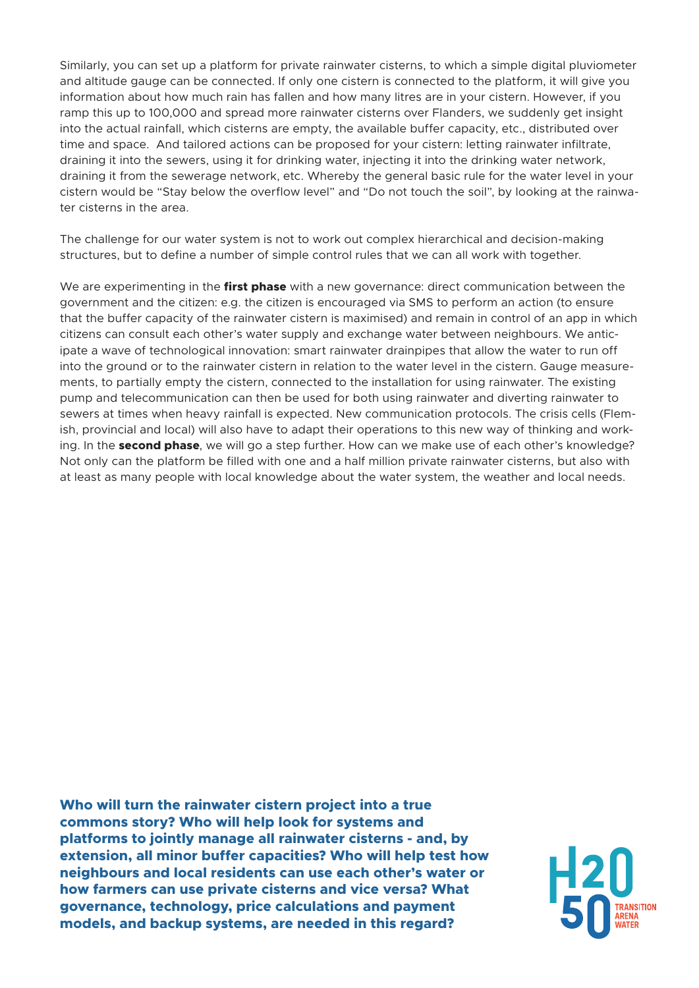Similarly, you can set up a platform for private rainwater cisterns, to which a simple digital pluviometer and altitude gauge can be connected. If only one cistern is connected to the platform, it will give you information about how much rain has fallen and how many litres are in your cistern. However, if you ramp this up to 100,000 and spread more rainwater cisterns over Flanders, we suddenly get insight into the actual rainfall, which cisterns are empty, the available buffer capacity, etc., distributed over time and space. And tailored actions can be proposed for your cistern: letting rainwater infiltrate, draining it into the sewers, using it for drinking water, injecting it into the drinking water network, draining it from the sewerage network, etc. Whereby the general basic rule for the water level in your cistern would be "Stay below the overflow level" and "Do not touch the soil", by looking at the rainwater cisterns in the area.

The challenge for our water system is not to work out complex hierarchical and decision-making structures, but to define a number of simple control rules that we can all work with together.

We are experimenting in the **first phase** with a new governance: direct communication between the government and the citizen: e.g. the citizen is encouraged via SMS to perform an action (to ensure that the buffer capacity of the rainwater cistern is maximised) and remain in control of an app in which citizens can consult each other's water supply and exchange water between neighbours. We anticipate a wave of technological innovation: smart rainwater drainpipes that allow the water to run off into the ground or to the rainwater cistern in relation to the water level in the cistern. Gauge measurements, to partially empty the cistern, connected to the installation for using rainwater. The existing pump and telecommunication can then be used for both using rainwater and diverting rainwater to sewers at times when heavy rainfall is expected. New communication protocols. The crisis cells (Flemish, provincial and local) will also have to adapt their operations to this new way of thinking and working. In the **second phase**, we will go a step further. How can we make use of each other's knowledge? Not only can the platform be filled with one and a half million private rainwater cisterns, but also with at least as many people with local knowledge about the water system, the weather and local needs.

**Who will turn the rainwater cistern project into a true commons story? Who will help look for systems and platforms to jointly manage all rainwater cisterns - and, by extension, all minor buffer capacities? Who will help test how neighbours and local residents can use each other's water or how farmers can use private cisterns and vice versa? What governance, technology, price calculations and payment models, and backup systems, are needed in this regard?**

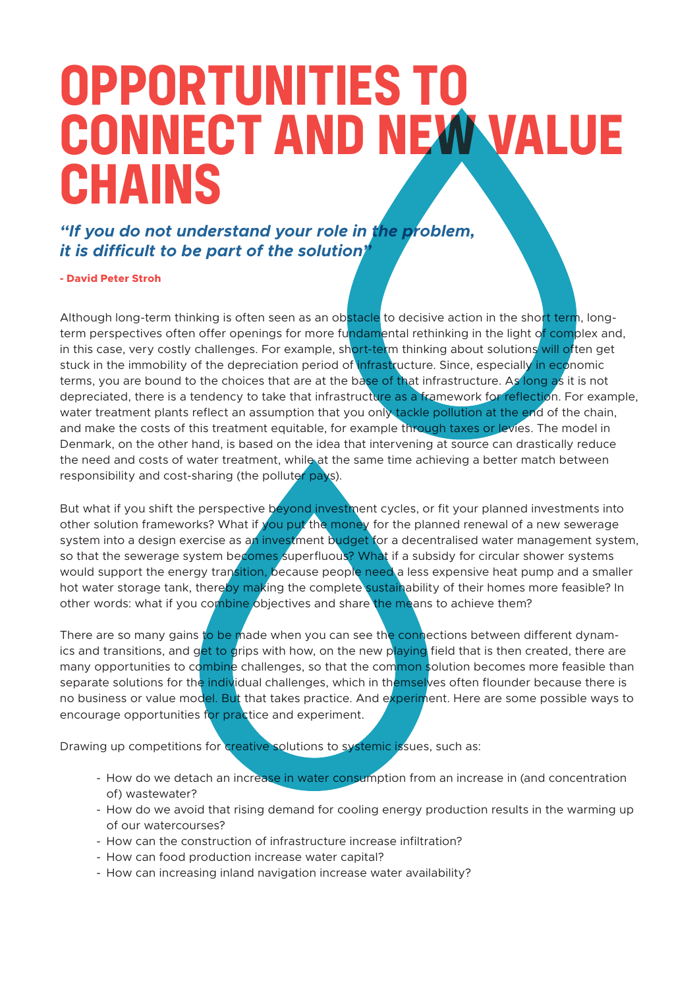### **OPPORTUNITIES TO CONNECT AND NEW VALUE CHAINS**

*"If you do not understand your role in the problem, it is difficult to be part of the solution"* 

**- David Peter Stroh**

Although long-term thinking is often seen as an obstacle to decisive action in the short term, longterm perspectives often offer openings for more fundamental rethinking in the light of complex and, in this case, very costly challenges. For example, short-term thinking about solutions will often get stuck in the immobility of the depreciation period of infrastructure. Since, especially in economic terms, you are bound to the choices that are at the base of that infrastructure. As long as it is not depreciated, there is a tendency to take that infrastructure as a framework for reflection. For example, water treatment plants reflect an assumption that you only tackle pollution at the end of the chain, and make the costs of this treatment equitable, for example through taxes or levies. The model in Denmark, on the other hand, is based on the idea that intervening at source can drastically reduce the need and costs of water treatment, while at the same time achieving a better match between responsibility and cost-sharing (the polluter pays).

But what if you shift the perspective beyond investment cycles, or fit your planned investments into other solution frameworks? What if you put the money for the planned renewal of a new sewerage system into a design exercise as an investment budget for a decentralised water management system, so that the sewerage system becomes superfluous? What if a subsidy for circular shower systems would support the energy transition, because people need a less expensive heat pump and a smaller hot water storage tank, thereby making the complete sustainability of their homes more feasible? In other words: what if you combine objectives and share the means to achieve them?

There are so many gains to be made when you can see the connections between different dynamics and transitions, and get to grips with how, on the new playing field that is then created, there are many opportunities to combine challenges, so that the common solution becomes more feasible than separate solutions for the individual challenges, which in themselves often flounder because there is no business or value model. But that takes practice. And experiment. Here are some possible ways to encourage opportunities for practice and experiment.

Drawing up competitions for creative solutions to systemic issues, such as:

- How do we detach an increase in water consumption from an increase in (and concentration of) wastewater?
- How do we avoid that rising demand for cooling energy production results in the warming up of our watercourses?
- How can the construction of infrastructure increase infiltration?
- How can food production increase water capital?
- How can increasing inland navigation increase water availability?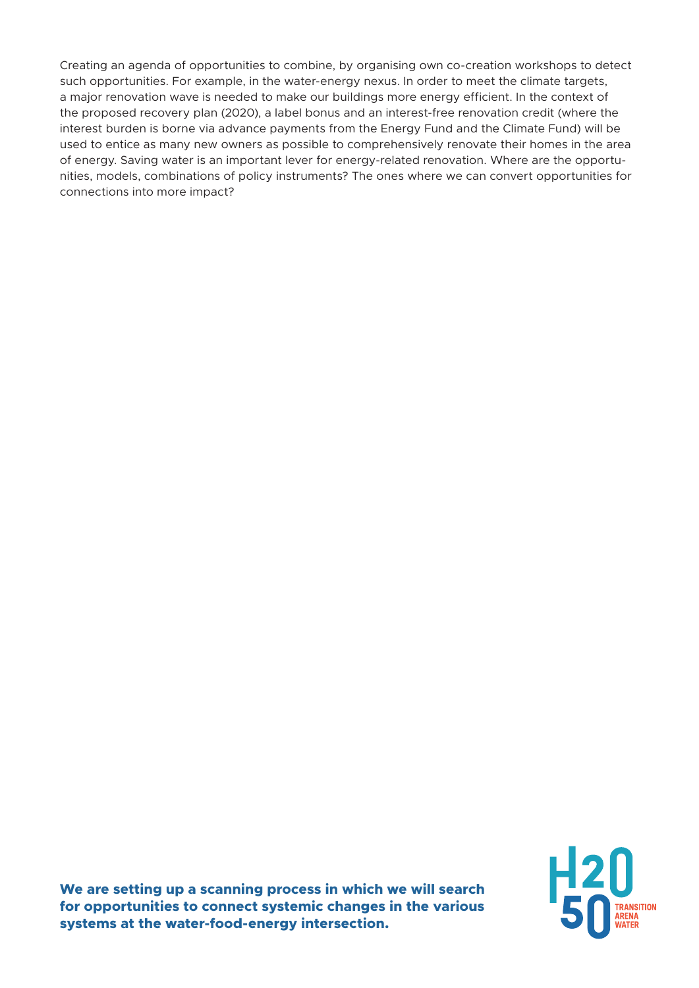Creating an agenda of opportunities to combine, by organising own co-creation workshops to detect such opportunities. For example, in the water-energy nexus. In order to meet the climate targets, a major renovation wave is needed to make our buildings more energy efficient. In the context of the proposed recovery plan (2020), a label bonus and an interest-free renovation credit (where the interest burden is borne via advance payments from the Energy Fund and the Climate Fund) will be used to entice as many new owners as possible to comprehensively renovate their homes in the area of energy. Saving water is an important lever for energy-related renovation. Where are the opportunities, models, combinations of policy instruments? The ones where we can convert opportunities for connections into more impact?

**We are setting up a scanning process in which we will search for opportunities to connect systemic changes in the various systems at the water-food-energy intersection.**

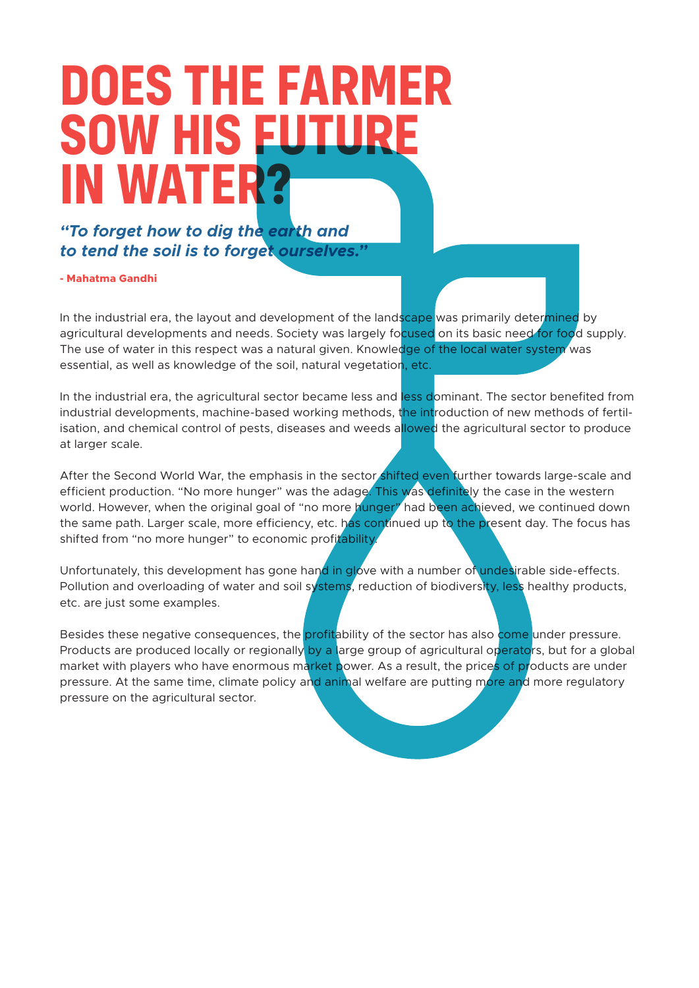### **DOES THE FARMER SOW HIS EUTU IN WATER?**

*"To forget how to dig the earth and to tend the soil is to forget ourselves."*

**- Mahatma Gandhi**

In the industrial era, the layout and development of the landscape was primarily determined by agricultural developments and needs. Society was largely focused on its basic need for food supply. The use of water in this respect was a natural given. Knowledge of the local water system was essential, as well as knowledge of the soil, natural vegetation, etc.

In the industrial era, the agricultural sector became less and less dominant. The sector benefited from industrial developments, machine-based working methods, the introduction of new methods of fertilisation, and chemical control of pests, diseases and weeds allowed the agricultural sector to produce at larger scale.

After the Second World War, the emphasis in the sector shifted even further towards large-scale and efficient production. "No more hunger" was the adage. This was definitely the case in the western world. However, when the original goal of "no more hunger" had been achieved, we continued down the same path. Larger scale, more efficiency, etc. has continued up to the present day. The focus has shifted from "no more hunger" to economic profitability.

Unfortunately, this development has gone hand in glove with a number of undesirable side-effects. Pollution and overloading of water and soil systems, reduction of biodiversity, less healthy products, etc. are just some examples.

Besides these negative consequences, the profitability of the sector has also come under pressure. Products are produced locally or regionally by a large group of agricultural operators, but for a global market with players who have enormous market power. As a result, the prices of products are under pressure. At the same time, climate policy and animal welfare are putting more and more regulatory pressure on the agricultural sector.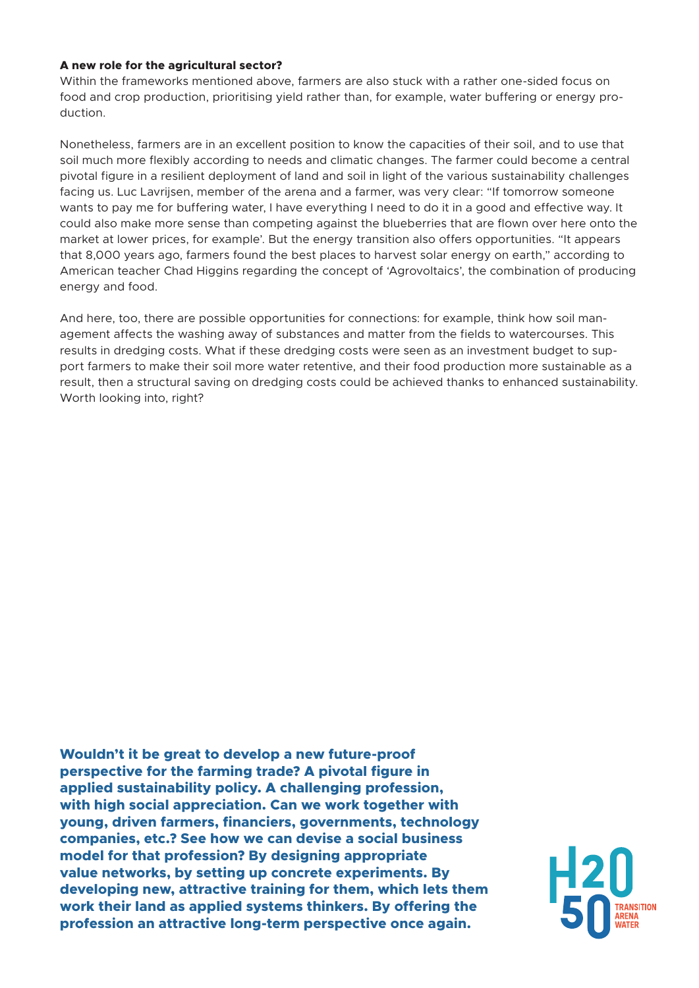#### **A new role for the agricultural sector?**

Within the frameworks mentioned above, farmers are also stuck with a rather one-sided focus on food and crop production, prioritising yield rather than, for example, water buffering or energy production.

Nonetheless, farmers are in an excellent position to know the capacities of their soil, and to use that soil much more flexibly according to needs and climatic changes. The farmer could become a central pivotal figure in a resilient deployment of land and soil in light of the various sustainability challenges facing us. Luc Lavrijsen, member of the arena and a farmer, was very clear: "If tomorrow someone wants to pay me for buffering water, I have everything I need to do it in a good and effective way. It could also make more sense than competing against the blueberries that are flown over here onto the market at lower prices, for example'. But the energy transition also offers opportunities. "It appears that 8,000 years ago, farmers found the best places to harvest solar energy on earth," according to American teacher Chad Higgins regarding the concept of 'Agrovoltaics', the combination of producing energy and food.

And here, too, there are possible opportunities for connections: for example, think how soil management affects the washing away of substances and matter from the fields to watercourses. This results in dredging costs. What if these dredging costs were seen as an investment budget to support farmers to make their soil more water retentive, and their food production more sustainable as a result, then a structural saving on dredging costs could be achieved thanks to enhanced sustainability. Worth looking into, right?

**Wouldn't it be great to develop a new future-proof perspective for the farming trade? A pivotal figure in applied sustainability policy. A challenging profession, with high social appreciation. Can we work together with young, driven farmers, financiers, governments, technology companies, etc.? See how we can devise a social business model for that profession? By designing appropriate value networks, by setting up concrete experiments. By developing new, attractive training for them, which lets them work their land as applied systems thinkers. By offering the profession an attractive long-term perspective once again.**

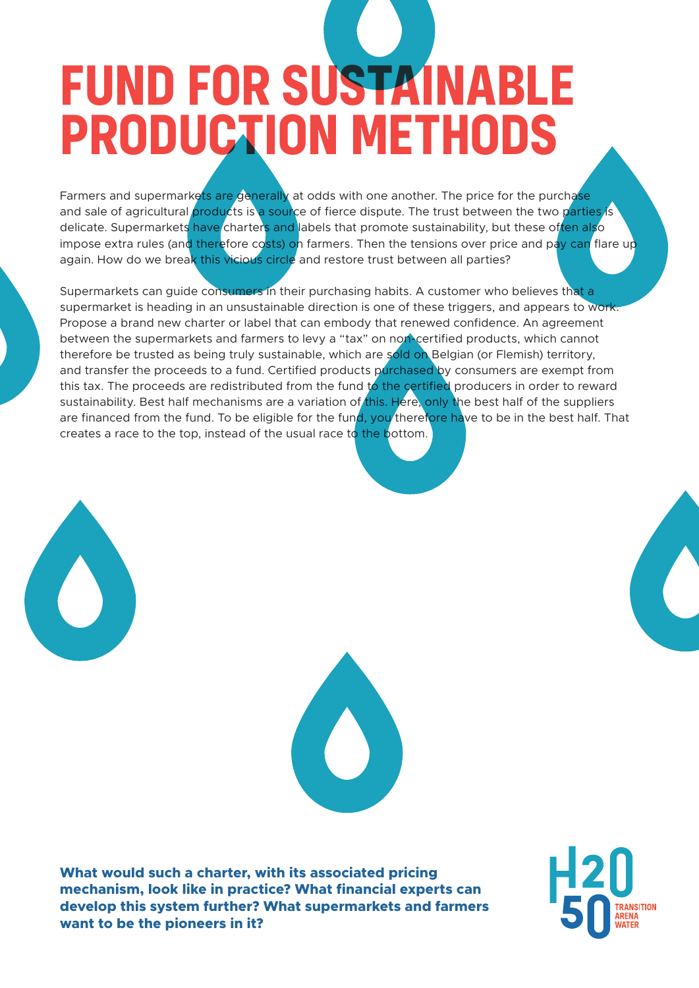# **FUND FOR SUSTAINABL PRODUCTION METHODS**

Farmers and supermarkets are generally at odds with one another. The price for the purchase and sale of agricultural products is a source of fierce dispute. The trust between the two parties is delicate. Supermarkets have charters and labels that promote sustainability, but these often also impose extra rules (and therefore costs) on farmers. Then the tensions over price and pay can flare up again. How do we break this vicious circle and restore trust between all parties?

Supermarkets can guide consumers in their purchasing habits. A customer who believes that a supermarket is heading in an unsustainable direction is one of these triggers, and appears to work. Propose a brand new charter or label that can embody that renewed confidence. An agreement between the supermarkets and farmers to levy a "tax" on non-certified products, which cannot therefore be trusted as being truly sustainable, which are sold on Belgian (or Flemish) territory, and transfer the proceeds to a fund. Certified products purchased by consumers are exempt from this tax. The proceeds are redistributed from the fund to the certified producers in order to reward sustainability. Best half mechanisms are a variation of this. Here, only the best half of the suppliers are financed from the fund. To be eligible for the fund, you therefore have to be in the best half. That creates a race to the top, instead of the usual race to the bottom.





**What would such a charter, with its associated pricing mechanism, look like in practice? What financial experts can develop this system further? What supermarkets and farmers want to be the pioneers in it?**

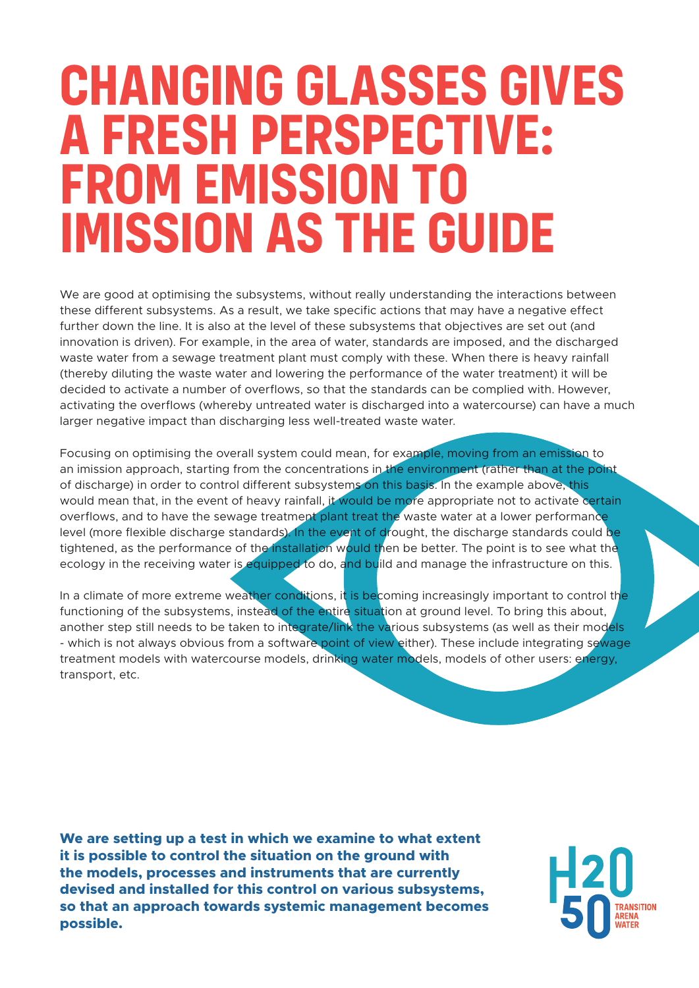### **CHANGING GLASSES GIVES A FRESH PERSPECTIVE: FROM EMISSION TO IMISSION AS THE GUIDE**

We are good at optimising the subsystems, without really understanding the interactions between these different subsystems. As a result, we take specific actions that may have a negative effect further down the line. It is also at the level of these subsystems that objectives are set out (and innovation is driven). For example, in the area of water, standards are imposed, and the discharged waste water from a sewage treatment plant must comply with these. When there is heavy rainfall (thereby diluting the waste water and lowering the performance of the water treatment) it will be decided to activate a number of overflows, so that the standards can be complied with. However, activating the overflows (whereby untreated water is discharged into a watercourse) can have a much larger negative impact than discharging less well-treated waste water.

Focusing on optimising the overall system could mean, for example, moving from an emission to an imission approach, starting from the concentrations in the environment (rather than at the point of discharge) in order to control different subsystems on this basis. In the example above, this would mean that, in the event of heavy rainfall, it would be more appropriate not to activate certain overflows, and to have the sewage treatment plant treat the waste water at a lower performance level (more flexible discharge standards). In the event of drought, the discharge standards could be tightened, as the performance of the installation would then be better. The point is to see what the ecology in the receiving water is equipped to do, and build and manage the infrastructure on this.

In a climate of more extreme weather conditions, it is becoming increasingly important to control the functioning of the subsystems, instead of the entire situation at ground level. To bring this about, another step still needs to be taken to integrate/link the various subsystems (as well as their models - which is not always obvious from a software point of view either). These include integrating sewage treatment models with watercourse models, drinking water models, models of other users: energy, transport, etc.

**We are setting up a test in which we examine to what extent it is possible to control the situation on the ground with the models, processes and instruments that are currently devised and installed for this control on various subsystems, so that an approach towards systemic management becomes possible.**

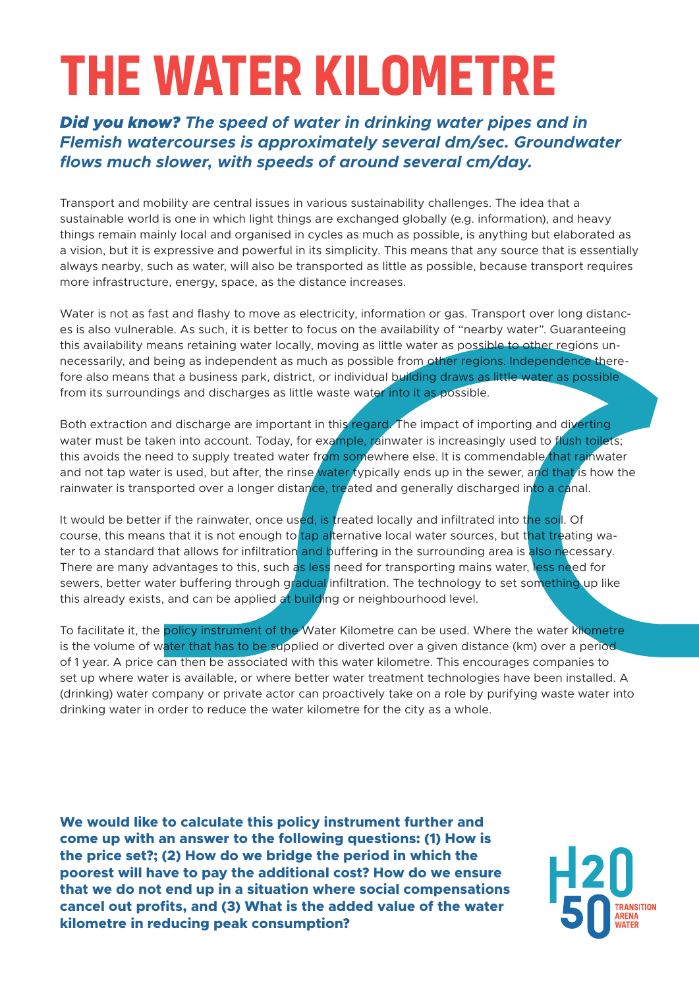# **THE WATER KILOMETRE**

#### *Did you know? The speed of water in drinking water pipes and in Flemish watercourses is approximately several dm/sec. Groundwater flows much slower, with speeds of around several cm/day.*

Transport and mobility are central issues in various sustainability challenges. The idea that a sustainable world is one in which light things are exchanged globally (e.g. information), and heavy things remain mainly local and organised in cycles as much as possible, is anything but elaborated as a vision, but it is expressive and powerful in its simplicity. This means that any source that is essentially always nearby, such as water, will also be transported as little as possible, because transport requires more infrastructure, energy, space, as the distance increases.

Water is not as fast and flashy to move as electricity, information or gas. Transport over long distances is also vulnerable. As such, it is better to focus on the availability of "nearby water". Guaranteeing this availability means retaining water locally, moving as little water as possible to other regions unnecessarily, and being as independent as much as possible from other regions. Independence therefore also means that a business park, district, or individual building draws as little water as possible from its surroundings and discharges as little waste water into it as possible.

Both extraction and discharge are important in this regard. The impact of importing and diverting water must be taken into account. Today, for example, rainwater is increasingly used to flush toilets; this avoids the need to supply treated water from somewhere else. It is commendable that rainwater and not tap water is used, but after, the rinse water typically ends up in the sewer, and that is how the rainwater is transported over a longer distance, treated and generally discharged into a canal.

It would be better if the rainwater, once used, is treated locally and infiltrated into the soil. Of course, this means that it is not enough to tap alternative local water sources, but that treating water to a standard that allows for infiltration and buffering in the surrounding area is also necessary. There are many advantages to this, such as less need for transporting mains water, less need for sewers, better water buffering through gradual infiltration. The technology to set something up like this already exists, and can be applied at building or neighbourhood level.

To facilitate it, the policy instrument of the Water Kilometre can be used. Where the water kilometre is the volume of water that has to be supplied or diverted over a given distance (km) over a period. of 1 year. A price can then be associated with this water kilometre. This encourages companies to set up where water is available, or where better water treatment technologies have been installed. A (drinking) water company or private actor can proactively take on a role by purifying waste water into drinking water in order to reduce the water kilometre for the city as a whole.

**We would like to calculate this policy instrument further and come up with an answer to the following questions: (1) How is the price set?; (2) How do we bridge the period in which the poorest will have to pay the additional cost? How do we ensure that we do not end up in a situation where social compensations cancel out profits, and (3) What is the added value of the water kilometre in reducing peak consumption?**

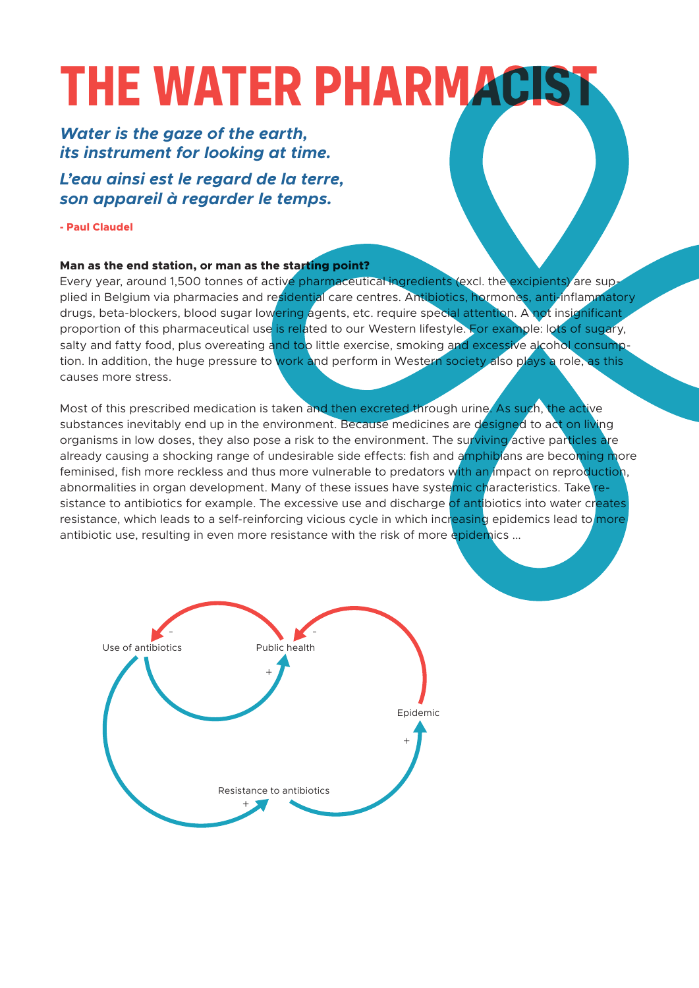# **THE WATER PHARMACIS**

#### *Water is the gaze of the earth, its instrument for looking at time.*

*L'eau ainsi est le regard de la terre, son appareil à regarder le temps.*

**- Paul Claudel**

#### **Man as the end station, or man as the starting point?**

Every year, around 1,500 tonnes of active pharmaceutical ingredients (excl. the excipients) are supplied in Belgium via pharmacies and residential care centres. Antibiotics, hormones, anti-inflammatory drugs, beta-blockers, blood sugar lowering agents, etc. require special attention. A not insignificant proportion of this pharmaceutical use is related to our Western lifestyle. For example: lots of sugary, salty and fatty food, plus overeating and too little exercise, smoking and excessive alcohol consumption. In addition, the huge pressure to work and perform in Western society also plays a role, as this causes more stress.

Most of this prescribed medication is taken and then excreted through urine. As such, the active substances inevitably end up in the environment. Because medicines are designed to act on living organisms in low doses, they also pose a risk to the environment. The surviving active particles are already causing a shocking range of undesirable side effects: fish and amphibians are becoming more feminised, fish more reckless and thus more vulnerable to predators with an impact on reproduction, abnormalities in organ development. Many of these issues have systemic characteristics. Take resistance to antibiotics for example. The excessive use and discharge of antibiotics into water creates resistance, which leads to a self-reinforcing vicious cycle in which increasing epidemics lead to more antibiotic use, resulting in even more resistance with the risk of more epidemics ...

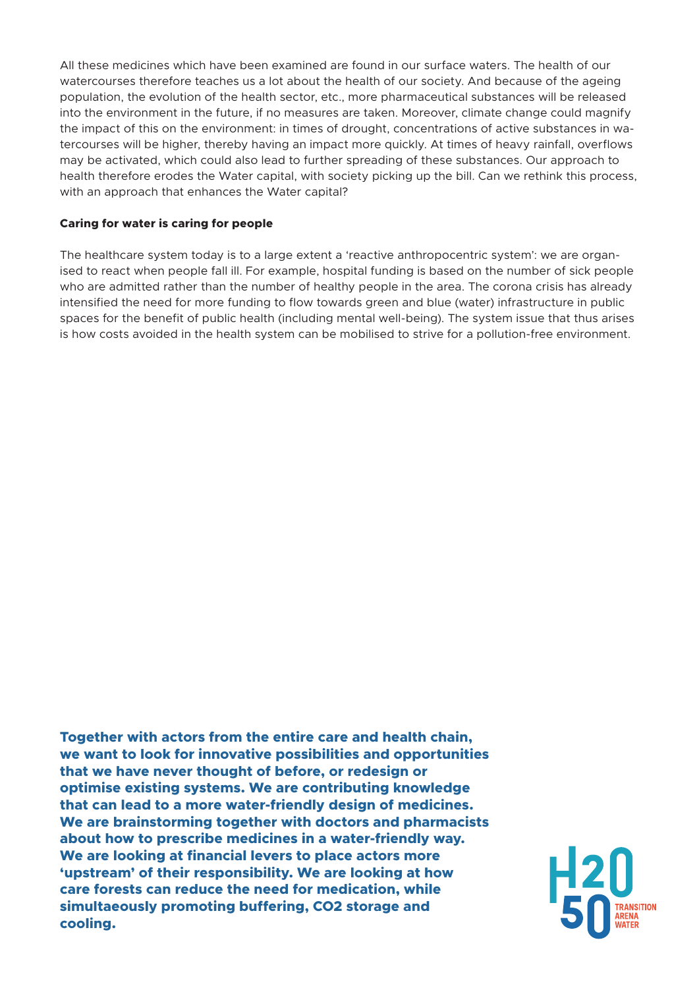All these medicines which have been examined are found in our surface waters. The health of our watercourses therefore teaches us a lot about the health of our society. And because of the ageing population, the evolution of the health sector, etc., more pharmaceutical substances will be released into the environment in the future, if no measures are taken. Moreover, climate change could magnify the impact of this on the environment: in times of drought, concentrations of active substances in watercourses will be higher, thereby having an impact more quickly. At times of heavy rainfall, overflows may be activated, which could also lead to further spreading of these substances. Our approach to health therefore erodes the Water capital, with society picking up the bill. Can we rethink this process, with an approach that enhances the Water capital?

#### **Caring for water is caring for people**

The healthcare system today is to a large extent a 'reactive anthropocentric system': we are organised to react when people fall ill. For example, hospital funding is based on the number of sick people who are admitted rather than the number of healthy people in the area. The corona crisis has already intensified the need for more funding to flow towards green and blue (water) infrastructure in public spaces for the benefit of public health (including mental well-being). The system issue that thus arises is how costs avoided in the health system can be mobilised to strive for a pollution-free environment.

**Together with actors from the entire care and health chain, we want to look for innovative possibilities and opportunities that we have never thought of before, or redesign or optimise existing systems. We are contributing knowledge that can lead to a more water-friendly design of medicines. We are brainstorming together with doctors and pharmacists about how to prescribe medicines in a water-friendly way. We are looking at financial levers to place actors more 'upstream' of their responsibility. We are looking at how care forests can reduce the need for medication, while simultaeously promoting buffering, CO2 storage and cooling.**

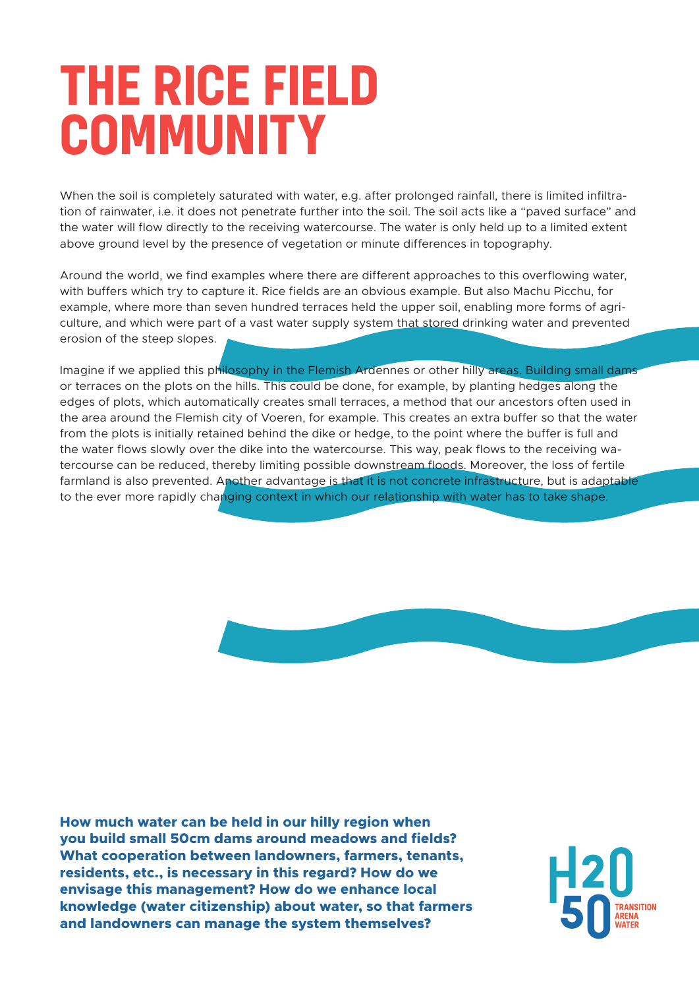### **THE RICE FIELD COMMUNITY**

When the soil is completely saturated with water, e.g. after prolonged rainfall, there is limited infiltration of rainwater, i.e. it does not penetrate further into the soil. The soil acts like a "paved surface" and the water will flow directly to the receiving watercourse. The water is only held up to a limited extent above ground level by the presence of vegetation or minute differences in topography.

Around the world, we find examples where there are different approaches to this overflowing water, with buffers which try to capture it. Rice fields are an obvious example. But also Machu Picchu, for example, where more than seven hundred terraces held the upper soil, enabling more forms of agriculture, and which were part of a vast water supply system that stored drinking water and prevented erosion of the steep slopes.

Imagine if we applied this philosophy in the Flemish Ardennes or other hilly areas. Building small dams or terraces on the plots on the hills. This could be done, for example, by planting hedges along the edges of plots, which automatically creates small terraces, a method that our ancestors often used in the area around the Flemish city of Voeren, for example. This creates an extra buffer so that the water from the plots is initially retained behind the dike or hedge, to the point where the buffer is full and the water flows slowly over the dike into the watercourse. This way, peak flows to the receiving watercourse can be reduced, thereby limiting possible downstream floods. Moreover, the loss of fertile farmland is also prevented. Another advantage is that it is not concrete infrastructure, but is adaptable to the ever more rapidly changing context in which our relationship with water has to take shape.



**How much water can be held in our hilly region when you build small 50cm dams around meadows and fields? What cooperation between landowners, farmers, tenants, residents, etc., is necessary in this regard? How do we envisage this management? How do we enhance local knowledge (water citizenship) about water, so that farmers and landowners can manage the system themselves?**

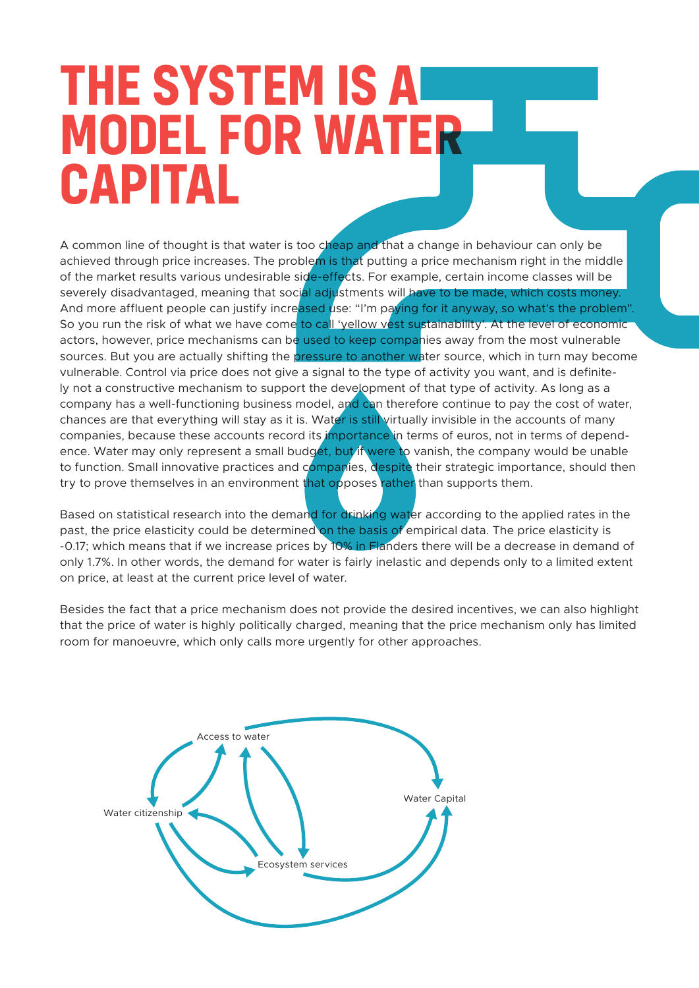### **THE SYSTEM IS A MODEL FOR WATER CAPITAL**

A common line of thought is that water is too cheap and that a change in behaviour can only be achieved through price increases. The problem is that putting a price mechanism right in the middle of the market results various undesirable side-effects. For example, certain income classes will be severely disadvantaged, meaning that social adjustments will have to be made, which costs money. And more affluent people can justify increased use: "I'm paying for it anyway, so what's the problem". So you run the risk of what we have come to call 'yellow vest sustainability'. At the level of economic actors, however, price mechanisms can be used to keep companies away from the most vulnerable sources. But you are actually shifting the **pressure to another water source**, which in turn may become vulnerable. Control via price does not give a signal to the type of activity you want, and is definitely not a constructive mechanism to support the development of that type of activity. As long as a company has a well-functioning business model, and can therefore continue to pay the cost of water, chances are that everything will stay as it is. Water is still virtually invisible in the accounts of many companies, because these accounts record its importance in terms of euros, not in terms of dependence. Water may only represent a small budget, but if were to vanish, the company would be unable to function. Small innovative practices and companies, despite their strategic importance, should then try to prove themselves in an environment that opposes rather than supports them.

Based on statistical research into the demand for drinking water according to the applied rates in the past, the price elasticity could be determined on the basis of empirical data. The price elasticity is -0.17; which means that if we increase prices by 10% in Flanders there will be a decrease in demand of only 1.7%. In other words, the demand for water is fairly inelastic and depends only to a limited extent on price, at least at the current price level of water.

Besides the fact that a price mechanism does not provide the desired incentives, we can also highlight that the price of water is highly politically charged, meaning that the price mechanism only has limited room for manoeuvre, which only calls more urgently for other approaches.

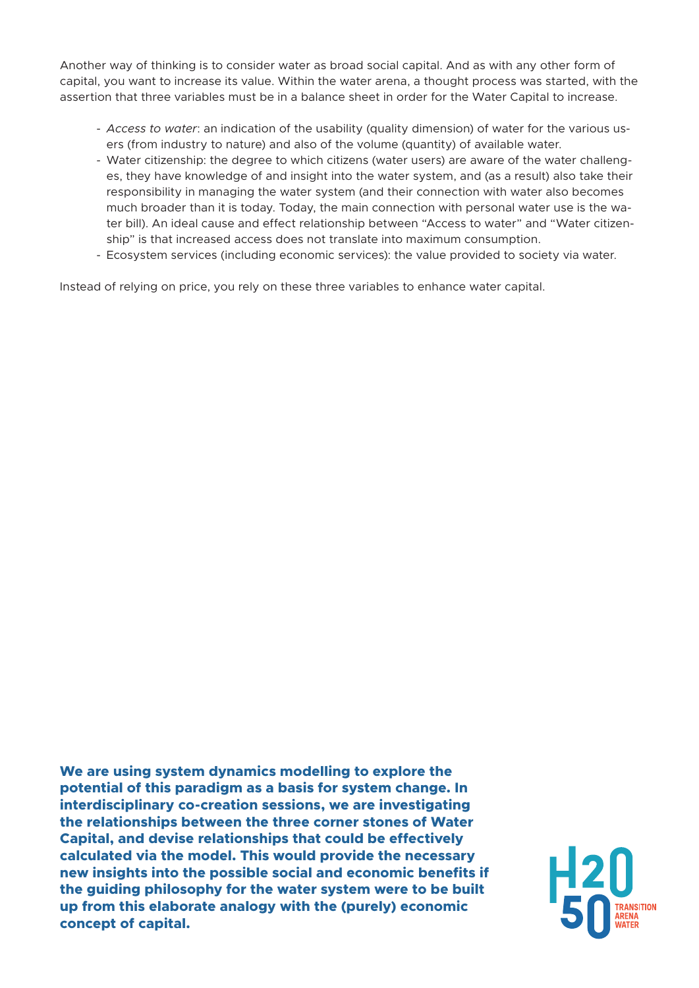Another way of thinking is to consider water as broad social capital. And as with any other form of capital, you want to increase its value. Within the water arena, a thought process was started, with the assertion that three variables must be in a balance sheet in order for the Water Capital to increase.

- *Access to water*: an indication of the usability (quality dimension) of water for the various users (from industry to nature) and also of the volume (quantity) of available water.
- Water citizenship: the degree to which citizens (water users) are aware of the water challenges, they have knowledge of and insight into the water system, and (as a result) also take their responsibility in managing the water system (and their connection with water also becomes much broader than it is today. Today, the main connection with personal water use is the water bill). An ideal cause and effect relationship between "Access to water" and "Water citizenship" is that increased access does not translate into maximum consumption.
- Ecosystem services (including economic services): the value provided to society via water.

Instead of relying on price, you rely on these three variables to enhance water capital.

**We are using system dynamics modelling to explore the potential of this paradigm as a basis for system change. In interdisciplinary co-creation sessions, we are investigating the relationships between the three corner stones of Water Capital, and devise relationships that could be effectively calculated via the model. This would provide the necessary new insights into the possible social and economic benefits if the guiding philosophy for the water system were to be built up from this elaborate analogy with the (purely) economic concept of capital.**

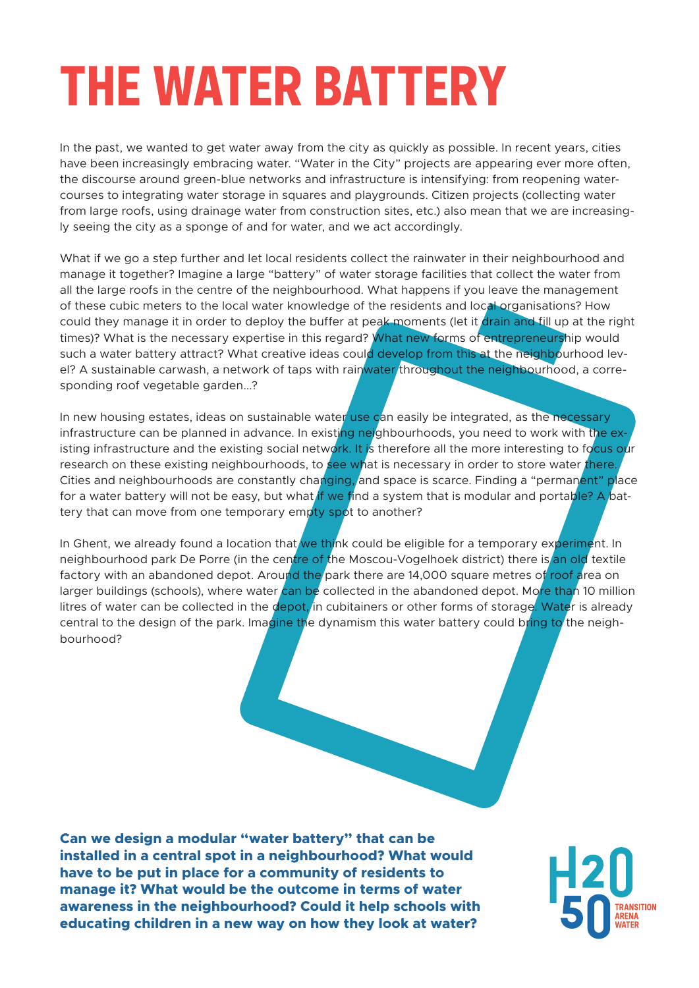# **THE WATER BATTERY**

In the past, we wanted to get water away from the city as quickly as possible. In recent years, cities have been increasingly embracing water. "Water in the City" projects are appearing ever more often, the discourse around green-blue networks and infrastructure is intensifying: from reopening watercourses to integrating water storage in squares and playgrounds. Citizen projects (collecting water from large roofs, using drainage water from construction sites, etc.) also mean that we are increasingly seeing the city as a sponge of and for water, and we act accordingly.

What if we go a step further and let local residents collect the rainwater in their neighbourhood and manage it together? Imagine a large "battery" of water storage facilities that collect the water from all the large roofs in the centre of the neighbourhood. What happens if you leave the management of these cubic meters to the local water knowledge of the residents and local organisations? How could they manage it in order to deploy the buffer at peak moments (let it drain and fill up at the right times)? What is the necessary expertise in this regard? What new forms of entrepreneurship would such a water battery attract? What creative ideas could develop from this at the neighbourhood level? A sustainable carwash, a network of taps with rainwater throughout the neighbourhood, a corresponding roof vegetable garden...?

In new housing estates, ideas on sustainable water use can easily be integrated, as the necessary infrastructure can be planned in advance. In existing neighbourhoods, you need to work with the existing infrastructure and the existing social network. It is therefore all the more interesting to focus our research on these existing neighbourhoods, to see what is necessary in order to store water there. Cities and neighbourhoods are constantly changing, and space is scarce. Finding a "permanent" place for a water battery will not be easy, but what if we find a system that is modular and portable? A battery that can move from one temporary empty spot to another?

In Ghent, we already found a location that we think could be eligible for a temporary experiment. In neighbourhood park De Porre (in the centre of the Moscou-Vogelhoek district) there is an old textile factory with an abandoned depot. Around the park there are 14,000 square metres of roof area on larger buildings (schools), where water can be collected in the abandoned depot. More than 10 million litres of water can be collected in the depot, in cubitainers or other forms of storage. Water is already central to the design of the park. Imagine the dynamism this water battery could bring to the neighbourhood?

**Can we design a modular "water battery" that can be installed in a central spot in a neighbourhood? What would have to be put in place for a community of residents to manage it? What would be the outcome in terms of water awareness in the neighbourhood? Could it help schools with educating children in a new way on how they look at water?**

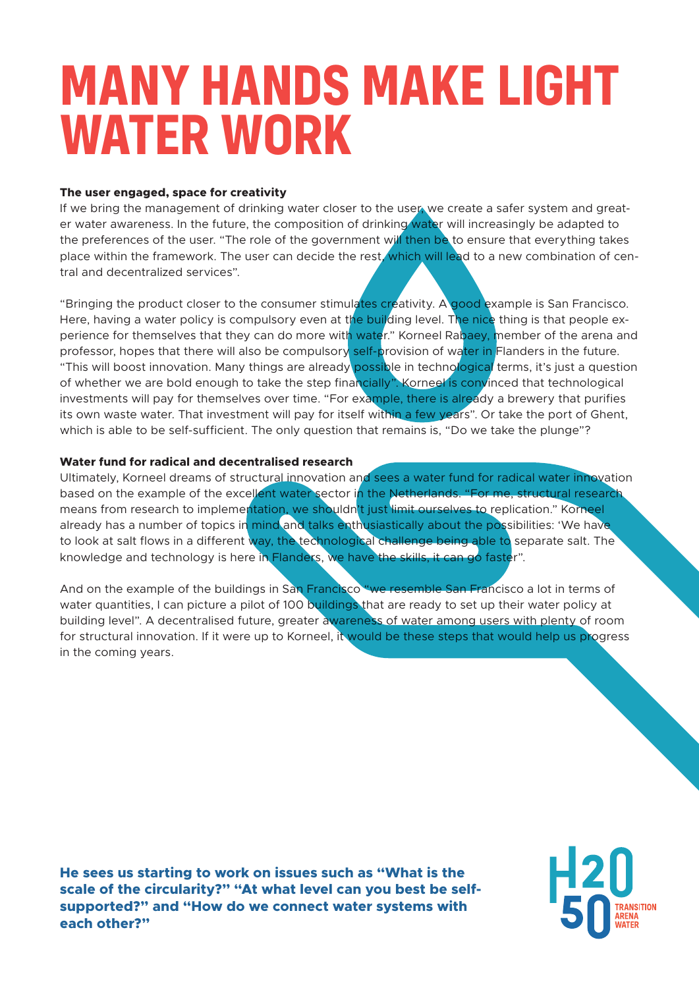### **MANY HANDS MAKE LIGHT WATER WORK**

#### **The user engaged, space for creativity**

If we bring the management of drinking water closer to the user, we create a safer system and greater water awareness. In the future, the composition of drinking water will increasingly be adapted to the preferences of the user. "The role of the government will then be to ensure that everything takes place within the framework. The user can decide the rest, which will lead to a new combination of central and decentralized services".

"Bringing the product closer to the consumer stimulates creativity. A good example is San Francisco. Here, having a water policy is compulsory even at the building level. The nice thing is that people experience for themselves that they can do more with water." Korneel Rabaey, member of the arena and professor, hopes that there will also be compulsory self-provision of water in Flanders in the future. "This will boost innovation. Many things are already possible in technological terms, it's just a question of whether we are bold enough to take the step financially". Korneel is convinced that technological investments will pay for themselves over time. "For example, there is already a brewery that purifies its own waste water. That investment will pay for itself within a few years". Or take the port of Ghent, which is able to be self-sufficient. The only question that remains is, "Do we take the plunge"?

#### **Water fund for radical and decentralised research**

Ultimately, Korneel dreams of structural innovation and sees a water fund for radical water innovation based on the example of the excellent water sector in the Netherlands. "For me, structural research means from research to implementation, we shouldn't just limit ourselves to replication." Korneel already has a number of topics in mind and talks enthusiastically about the possibilities: 'We have to look at salt flows in a different way, the technological challenge being able to separate salt. The knowledge and technology is here in Flanders, we have the skills, it can go faster".

And on the example of the buildings in San Francisco "we resemble San Francisco a lot in terms of water quantities, I can picture a pilot of 100 buildings that are ready to set up their water policy at building level". A decentralised future, greater awareness of water among users with plenty of room for structural innovation. If it were up to Korneel, it would be these steps that would help us progress in the coming years.

**He sees us starting to work on issues such as "What is the scale of the circularity?" "At what level can you best be selfsupported?" and "How do we connect water systems with each other?"**

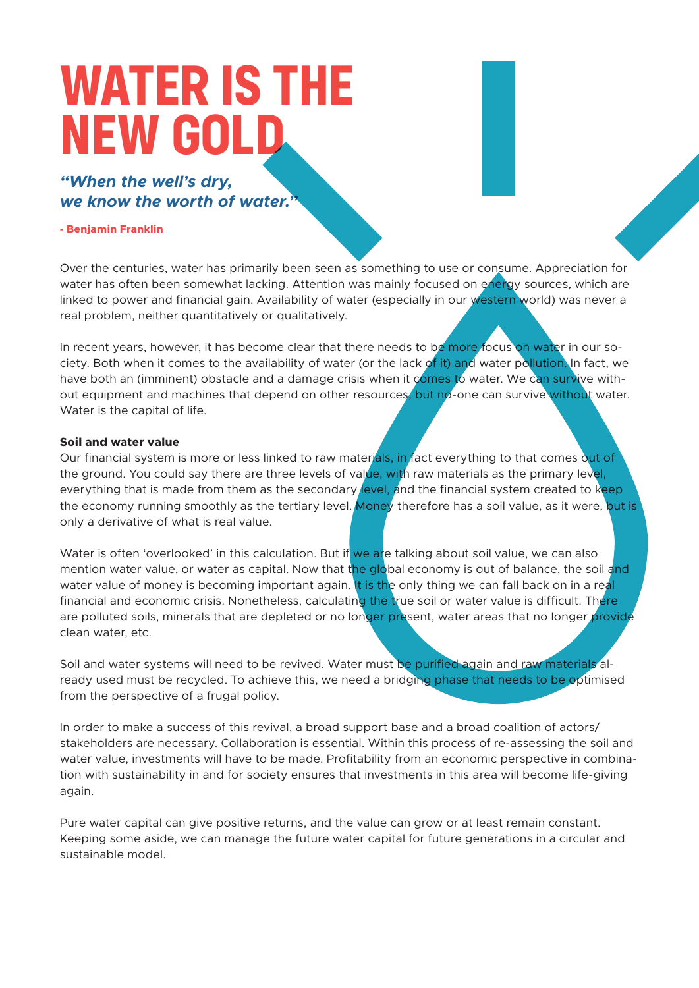### **WATER IS THE NEW GOLD**

#### *"When the well's dry, we know the worth of water."*

#### **- Benjamin Franklin**

Over the centuries, water has primarily been seen as something to use or consume. Appreciation for water has often been somewhat lacking. Attention was mainly focused on energy sources, which are linked to power and financial gain. Availability of water (especially in our western world) was never a real problem, neither quantitatively or qualitatively.

In recent years, however, it has become clear that there needs to be more focus on water in our society. Both when it comes to the availability of water (or the lack of it) and water pollution. In fact, we have both an (imminent) obstacle and a damage crisis when it comes to water. We can survive without equipment and machines that depend on other resources, but no-one can survive without water. Water is the capital of life.

#### **Soil and water value**

Our financial system is more or less linked to raw materials, in fact everything to that comes out of the ground. You could say there are three levels of value, with raw materials as the primary level, everything that is made from them as the secondary level, and the financial system created to keep the economy running smoothly as the tertiary level. Money therefore has a soil value, as it were, but is only a derivative of what is real value.

Water is often 'overlooked' in this calculation. But if we are talking about soil value, we can also mention water value, or water as capital. Now that the global economy is out of balance, the soil and water value of money is becoming important again. It is the only thing we can fall back on in a real financial and economic crisis. Nonetheless, calculating the true soil or water value is difficult. There are polluted soils, minerals that are depleted or no longer present, water areas that no longer provide clean water, etc.

Soil and water systems will need to be revived. Water must be purified again and raw materials already used must be recycled. To achieve this, we need a bridging phase that needs to be optimised from the perspective of a frugal policy.

In order to make a success of this revival, a broad support base and a broad coalition of actors/ stakeholders are necessary. Collaboration is essential. Within this process of re-assessing the soil and water value, investments will have to be made. Profitability from an economic perspective in combination with sustainability in and for society ensures that investments in this area will become life-giving again.

Pure water capital can give positive returns, and the value can grow or at least remain constant. Keeping some aside, we can manage the future water capital for future generations in a circular and sustainable model.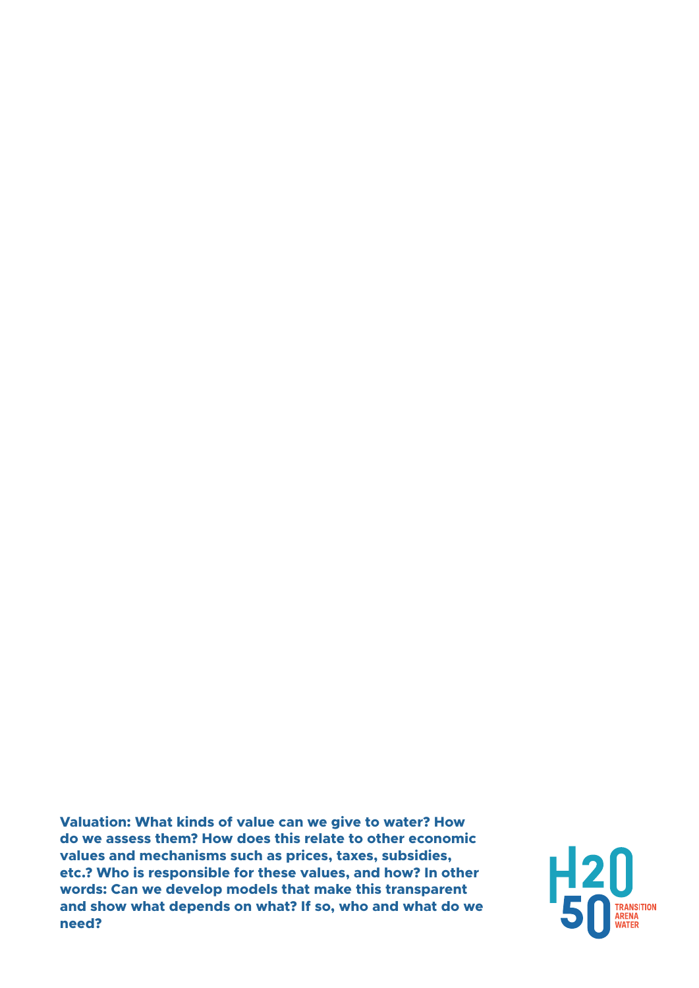**Valuation: What kinds of value can we give to water? How do we assess them? How does this relate to other economic values and mechanisms such as prices, taxes, subsidies, etc.? Who is responsible for these values, and how? In other words: Can we develop models that make this transparent and show what depends on what? If so, who and what do we need?**